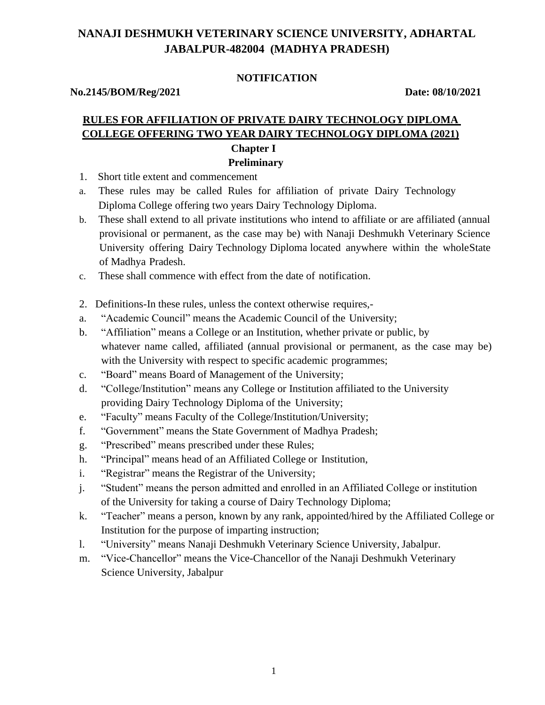# **NANAJI DESHMUKH VETERINARY SCIENCE UNIVERSITY, ADHARTAL JABALPUR-482004 (MADHYA PRADESH)**

### **NOTIFICATION**

**No.2145/BOM/Reg/2021 Date: 08/10/2021**

## **RULES FOR AFFILIATION OF PRIVATE DAIRY TECHNOLOGY DIPLOMA COLLEGE OFFERING TWO YEAR DAIRY TECHNOLOGY DIPLOMA (2021) Chapter I Preliminary**

- 1. Short title extent and commencement
- a. These rules may be called Rules for affiliation of private Dairy Technology Diploma College offering two years Dairy Technology Diploma.
- b. These shall extend to all private institutions who intend to affiliate or are affiliated (annual provisional or permanent, as the case may be) with Nanaji Deshmukh Veterinary Science University offering Dairy Technology Diploma located anywhere within the wholeState of Madhya Pradesh.
- c. These shall commence with effect from the date of notification.
- 2. Definitions-In these rules, unless the context otherwise requires,-
- a. "Academic Council" means the Academic Council of the University;
- b. "Affiliation" means a College or an Institution, whether private or public, by whatever name called, affiliated (annual provisional or permanent, as the case may be) with the University with respect to specific academic programmes;
- c. "Board" means Board of Management of the University;
- d. "College/Institution" means any College or Institution affiliated to the University providing Dairy Technology Diploma of the University;
- e. "Faculty" means Faculty of the College/Institution/University;
- f. "Government" means the State Government of Madhya Pradesh;
- g. "Prescribed" means prescribed under these Rules;
- h. "Principal" means head of an Affiliated College or Institution,
- i. "Registrar" means the Registrar of the University;
- j. "Student" means the person admitted and enrolled in an Affiliated College or institution of the University for taking a course of Dairy Technology Diploma;
- k. "Teacher" means a person, known by any rank, appointed/hired by the Affiliated College or Institution for the purpose of imparting instruction;
- l. "University" means Nanaji Deshmukh Veterinary Science University, Jabalpur.
- m. "Vice-Chancellor" means the Vice-Chancellor of the Nanaji Deshmukh Veterinary Science University, Jabalpur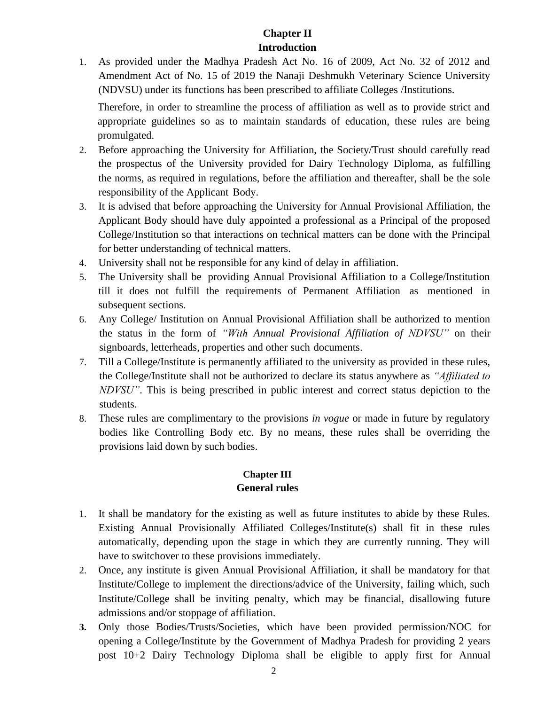# **Chapter II Introduction**

1. As provided under the Madhya Pradesh Act No. 16 of 2009, Act No. 32 of 2012 and Amendment Act of No. 15 of 2019 the Nanaji Deshmukh Veterinary Science University (NDVSU) under its functions has been prescribed to affiliate Colleges /Institutions.

Therefore, in order to streamline the process of affiliation as well as to provide strict and appropriate guidelines so as to maintain standards of education, these rules are being promulgated.

- 2. Before approaching the University for Affiliation, the Society/Trust should carefully read the prospectus of the University provided for Dairy Technology Diploma, as fulfilling the norms, as required in regulations, before the affiliation and thereafter, shall be the sole responsibility of the Applicant Body.
- 3. It is advised that before approaching the University for Annual Provisional Affiliation, the Applicant Body should have duly appointed a professional as a Principal of the proposed College/Institution so that interactions on technical matters can be done with the Principal for better understanding of technical matters.
- 4. University shall not be responsible for any kind of delay in affiliation.
- 5. The University shall be providing Annual Provisional Affiliation to a College/Institution till it does not fulfill the requirements of Permanent Affiliation as mentioned in subsequent sections.
- 6. Any College/ Institution on Annual Provisional Affiliation shall be authorized to mention the status in the form of *"With Annual Provisional Affiliation of NDVSU"* on their signboards, letterheads, properties and other such documents.
- 7. Till a College/Institute is permanently affiliated to the university as provided in these rules, the College/Institute shall not be authorized to declare its status anywhere as *"Affiliated to NDVSU"*. This is being prescribed in public interest and correct status depiction to the students.
- 8. These rules are complimentary to the provisions *in vogue* or made in future by regulatory bodies like Controlling Body etc. By no means, these rules shall be overriding the provisions laid down by such bodies.

### **Chapter III General rules**

- 1. It shall be mandatory for the existing as well as future institutes to abide by these Rules. Existing Annual Provisionally Affiliated Colleges/Institute(s) shall fit in these rules automatically, depending upon the stage in which they are currently running. They will have to switchover to these provisions immediately.
- 2. Once, any institute is given Annual Provisional Affiliation, it shall be mandatory for that Institute/College to implement the directions/advice of the University, failing which, such Institute/College shall be inviting penalty, which may be financial, disallowing future admissions and/or stoppage of affiliation.
- **3.** Only those Bodies/Trusts/Societies, which have been provided permission/NOC for opening a College/Institute by the Government of Madhya Pradesh for providing 2 years post 10+2 Dairy Technology Diploma shall be eligible to apply first for Annual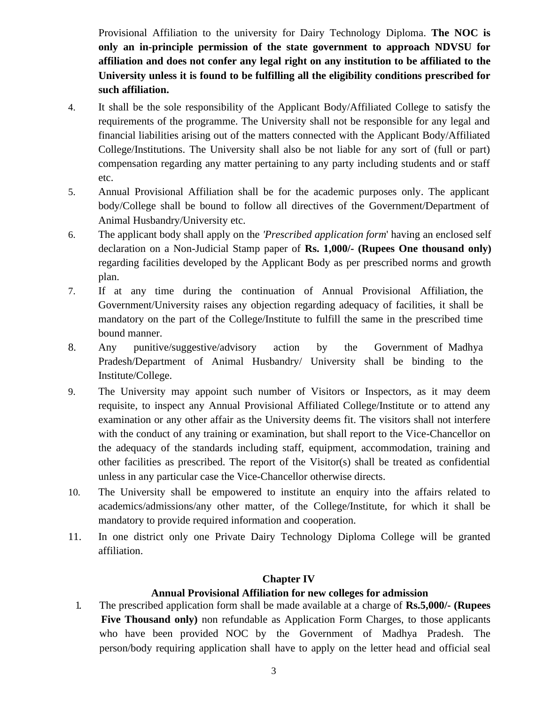Provisional Affiliation to the university for Dairy Technology Diploma. **The NOC is only an in-principle permission of the state government to approach NDVSU for affiliation and does not confer any legal right on any institution to be affiliated to the University unless it is found to be fulfilling all the eligibility conditions prescribed for such affiliation.**

- 4. It shall be the sole responsibility of the Applicant Body/Affiliated College to satisfy the requirements of the programme. The University shall not be responsible for any legal and financial liabilities arising out of the matters connected with the Applicant Body/Affiliated College/Institutions. The University shall also be not liable for any sort of (full or part) compensation regarding any matter pertaining to any party including students and or staff etc.
- 5. Annual Provisional Affiliation shall be for the academic purposes only. The applicant body/College shall be bound to follow all directives of the Government/Department of Animal Husbandry/University etc.
- 6. The applicant body shall apply on the *'Prescribed application form*' having an enclosed self declaration on a Non-Judicial Stamp paper of **Rs. 1,000/- (Rupees One thousand only)** regarding facilities developed by the Applicant Body as per prescribed norms and growth plan.
- 7. If at any time during the continuation of Annual Provisional Affiliation, the Government/University raises any objection regarding adequacy of facilities, it shall be mandatory on the part of the College/Institute to fulfill the same in the prescribed time bound manner.
- 8. Any punitive/suggestive/advisory action by the Government of Madhya Pradesh/Department of Animal Husbandry/ University shall be binding to the Institute/College.
- 9. The University may appoint such number of Visitors or Inspectors, as it may deem requisite, to inspect any Annual Provisional Affiliated College/Institute or to attend any examination or any other affair as the University deems fit. The visitors shall not interfere with the conduct of any training or examination, but shall report to the Vice-Chancellor on the adequacy of the standards including staff, equipment, accommodation, training and other facilities as prescribed. The report of the Visitor(s) shall be treated as confidential unless in any particular case the Vice-Chancellor otherwise directs.
- 10. The University shall be empowered to institute an enquiry into the affairs related to academics/admissions/any other matter, of the College/Institute, for which it shall be mandatory to provide required information and cooperation.
- 11. In one district only one Private Dairy Technology Diploma College will be granted affiliation.

### **Chapter IV**

### **Annual Provisional Affiliation for new colleges for admission**

1. The prescribed application form shall be made available at a charge of **Rs.5,000/- (Rupees Five Thousand only)** non refundable as Application Form Charges, to those applicants who have been provided NOC by the Government of Madhya Pradesh. The person/body requiring application shall have to apply on the letter head and official seal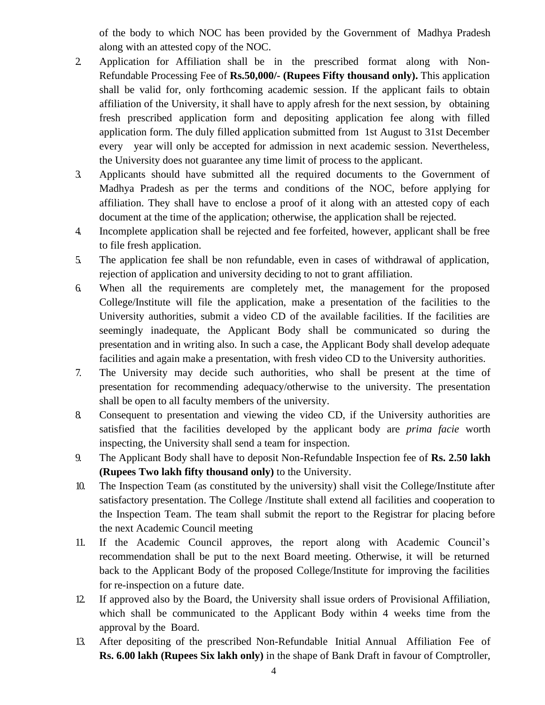of the body to which NOC has been provided by the Government of Madhya Pradesh along with an attested copy of the NOC.

- 2. Application for Affiliation shall be in the prescribed format along with Non-Refundable Processing Fee of **Rs.50,000/- (Rupees Fifty thousand only).** This application shall be valid for, only forthcoming academic session. If the applicant fails to obtain affiliation of the University, it shall have to apply afresh for the next session, by obtaining fresh prescribed application form and depositing application fee along with filled application form. The duly filled application submitted from 1st August to 31st December every year will only be accepted for admission in next academic session. Nevertheless, the University does not guarantee any time limit of process to the applicant.
- 3. Applicants should have submitted all the required documents to the Government of Madhya Pradesh as per the terms and conditions of the NOC, before applying for affiliation. They shall have to enclose a proof of it along with an attested copy of each document at the time of the application; otherwise, the application shall be rejected.
- 4. Incomplete application shall be rejected and fee forfeited, however, applicant shall be free to file fresh application.
- 5. The application fee shall be non refundable, even in cases of withdrawal of application, rejection of application and university deciding to not to grant affiliation.
- 6. When all the requirements are completely met, the management for the proposed College/Institute will file the application, make a presentation of the facilities to the University authorities, submit a video CD of the available facilities. If the facilities are seemingly inadequate, the Applicant Body shall be communicated so during the presentation and in writing also. In such a case, the Applicant Body shall develop adequate facilities and again make a presentation, with fresh video CD to the University authorities.
- 7. The University may decide such authorities, who shall be present at the time of presentation for recommending adequacy/otherwise to the university. The presentation shall be open to all faculty members of the university.
- 8. Consequent to presentation and viewing the video CD, if the University authorities are satisfied that the facilities developed by the applicant body are *prima facie* worth inspecting, the University shall send a team for inspection.
- 9. The Applicant Body shall have to deposit Non-Refundable Inspection fee of **Rs. 2.50 lakh (Rupees Two lakh fifty thousand only)** to the University.
- 10. The Inspection Team (as constituted by the university) shall visit the College/Institute after satisfactory presentation. The College /Institute shall extend all facilities and cooperation to the Inspection Team. The team shall submit the report to the Registrar for placing before the next Academic Council meeting
- 11. If the Academic Council approves, the report along with Academic Council's recommendation shall be put to the next Board meeting. Otherwise, it will be returned back to the Applicant Body of the proposed College/Institute for improving the facilities for re-inspection on a future date.
- 12. If approved also by the Board, the University shall issue orders of Provisional Affiliation, which shall be communicated to the Applicant Body within 4 weeks time from the approval by the Board.
- 13. After depositing of the prescribed Non-Refundable Initial Annual Affiliation Fee of **Rs. 6.00 lakh (Rupees Six lakh only)** in the shape of Bank Draft in favour of Comptroller,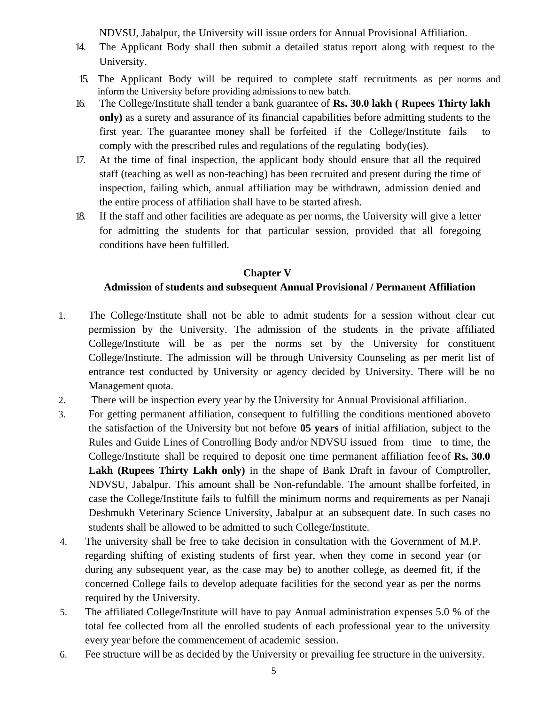NDVSU, Jabalpur, the University will issue orders for Annual Provisional Affiliation.

- 14. The Applicant Body shall then submit a detailed status report along with request to the University.
- 15. The Applicant Body will be required to complete staff recruitments as per norms and inform the University before providing admissions to new batch.
- 16. The College/Institute shall tender a bank guarantee of **Rs. 30.0 lakh ( Rupees Thirty lakh only)** as a surety and assurance of its financial capabilities before admitting students to the first year. The guarantee money shall be forfeited if the College/Institute fails to comply with the prescribed rules and regulations of the regulating body(ies).
- 17. At the time of final inspection, the applicant body should ensure that all the required staff (teaching as well as non-teaching) has been recruited and present during the time of inspection, failing which, annual affiliation may be withdrawn, admission denied and the entire process of affiliation shall have to be started afresh.
- 18. If the staff and other facilities are adequate as per norms, the University will give a letter for admitting the students for that particular session, provided that all foregoing conditions have been fulfilled.

### **Chapter V**

# **Admission of students and subsequent Annual Provisional / Permanent Affiliation**

- 1. The College/Institute shall not be able to admit students for a session without clear cut permission by the University. The admission of the students in the private affiliated College/Institute will be as per the norms set by the University for constituent College/Institute. The admission will be through University Counseling as per merit list of entrance test conducted by University or agency decided by University. There will be no Management quota.
- 2. There will be inspection every year by the University for Annual Provisional affiliation.
- 3. For getting permanent affiliation, consequent to fulfilling the conditions mentioned aboveto the satisfaction of the University but not before **05 years** of initial affiliation, subject to the Rules and Guide Lines of Controlling Body and/or NDVSU issued from time to time, the College/Institute shall be required to deposit one time permanent affiliation feeof **Rs. 30.0 Lakh (Rupees Thirty Lakh only)** in the shape of Bank Draft in favour of Comptroller, NDVSU, Jabalpur. This amount shall be Non-refundable. The amount shallbe forfeited, in case the College/Institute fails to fulfill the minimum norms and requirements as per Nanaji Deshmukh Veterinary Science University, Jabalpur at an subsequent date. In such cases no students shall be allowed to be admitted to such College/Institute.
- 4. The university shall be free to take decision in consultation with the Government of M.P. regarding shifting of existing students of first year, when they come in second year (or during any subsequent year, as the case may be) to another college, as deemed fit, if the concerned College fails to develop adequate facilities for the second year as per the norms required by the University.
- 5. The affiliated College/Institute will have to pay Annual administration expenses 5.0 % of the total fee collected from all the enrolled students of each professional year to the university every year before the commencement of academic session.
- 6. Fee structure will be as decided by the University or prevailing fee structure in the university.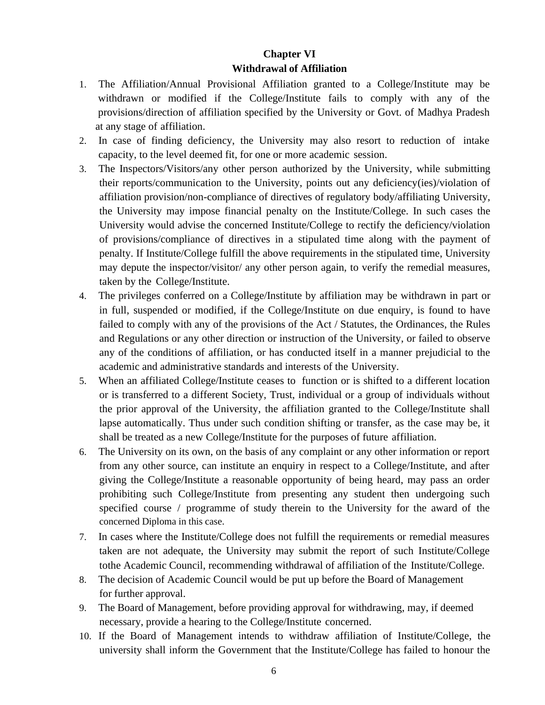# **Chapter VI Withdrawal of Affiliation**

- 1. The Affiliation/Annual Provisional Affiliation granted to a College/Institute may be withdrawn or modified if the College/Institute fails to comply with any of the provisions/direction of affiliation specified by the University or Govt. of Madhya Pradesh at any stage of affiliation.
- 2. In case of finding deficiency, the University may also resort to reduction of intake capacity, to the level deemed fit, for one or more academic session.
- 3. The Inspectors/Visitors/any other person authorized by the University, while submitting their reports/communication to the University, points out any deficiency(ies)/violation of affiliation provision/non-compliance of directives of regulatory body/affiliating University, the University may impose financial penalty on the Institute/College. In such cases the University would advise the concerned Institute/College to rectify the deficiency/violation of provisions/compliance of directives in a stipulated time along with the payment of penalty. If Institute/College fulfill the above requirements in the stipulated time, University may depute the inspector/visitor/ any other person again, to verify the remedial measures, taken by the College/Institute.
- 4. The privileges conferred on a College/Institute by affiliation may be withdrawn in part or in full, suspended or modified, if the College/Institute on due enquiry, is found to have failed to comply with any of the provisions of the Act / Statutes, the Ordinances, the Rules and Regulations or any other direction or instruction of the University, or failed to observe any of the conditions of affiliation, or has conducted itself in a manner prejudicial to the academic and administrative standards and interests of the University.
- 5. When an affiliated College/Institute ceases to function or is shifted to a different location or is transferred to a different Society, Trust, individual or a group of individuals without the prior approval of the University, the affiliation granted to the College/Institute shall lapse automatically. Thus under such condition shifting or transfer, as the case may be, it shall be treated as a new College/Institute for the purposes of future affiliation.
- 6. The University on its own, on the basis of any complaint or any other information or report from any other source, can institute an enquiry in respect to a College/Institute, and after giving the College/Institute a reasonable opportunity of being heard, may pass an order prohibiting such College/Institute from presenting any student then undergoing such specified course / programme of study therein to the University for the award of the concerned Diploma in this case.
- 7. In cases where the Institute/College does not fulfill the requirements or remedial measures taken are not adequate, the University may submit the report of such Institute/College tothe Academic Council, recommending withdrawal of affiliation of the Institute/College.
- 8. The decision of Academic Council would be put up before the Board of Management for further approval.
- 9. The Board of Management, before providing approval for withdrawing, may, if deemed necessary, provide a hearing to the College/Institute concerned.
- 10. If the Board of Management intends to withdraw affiliation of Institute/College, the university shall inform the Government that the Institute/College has failed to honour the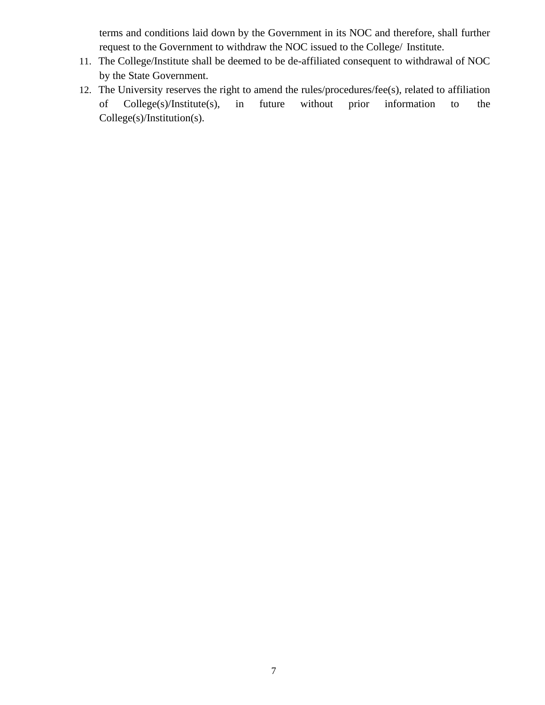terms and conditions laid down by the Government in its NOC and therefore, shall further request to the Government to withdraw the NOC issued to the College/ Institute.

- 11. The College/Institute shall be deemed to be de-affiliated consequent to withdrawal of NOC by the State Government.
- 12. The University reserves the right to amend the rules/procedures/fee(s), related to affiliation of College(s)/Institute(s), in future without prior information to the College(s)/Institution(s).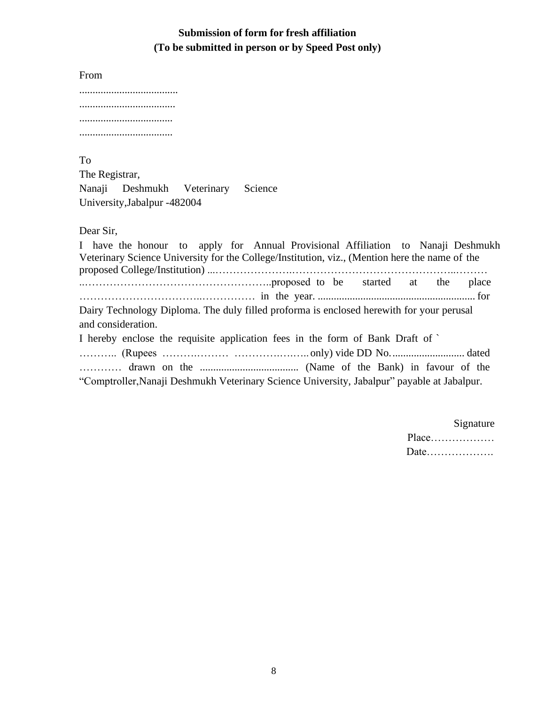# **Submission of form for fresh affiliation (To be submitted in person or by Speed Post only)**

From

To

The Registrar,

Nanaji Deshmukh Veterinary Science University,Jabalpur -482004

Dear Sir,

I have the honour to apply for Annual Provisional Affiliation to Nanaji Deshmukh Veterinary Science University for the College/Institution, viz., (Mention here the name of the proposed College/Institution) ...………………….………………………………………..……… ..……………………………………………..proposed to be started at the place ……………………………..…………… in the year. ........................................................... for Dairy Technology Diploma. The duly filled proforma is enclosed herewith for your perusal and consideration. I hereby enclose the requisite application fees in the form of Bank Draft of ` ……….. (Rupees ……….……… ………….….….. only) vide DD No............................ dated ………… drawn on the ..................................... (Name of the Bank) in favour of the "Comptroller,Nanaji Deshmukh Veterinary Science University, Jabalpur" payable at Jabalpur.

> Signature Place……………… Date……………….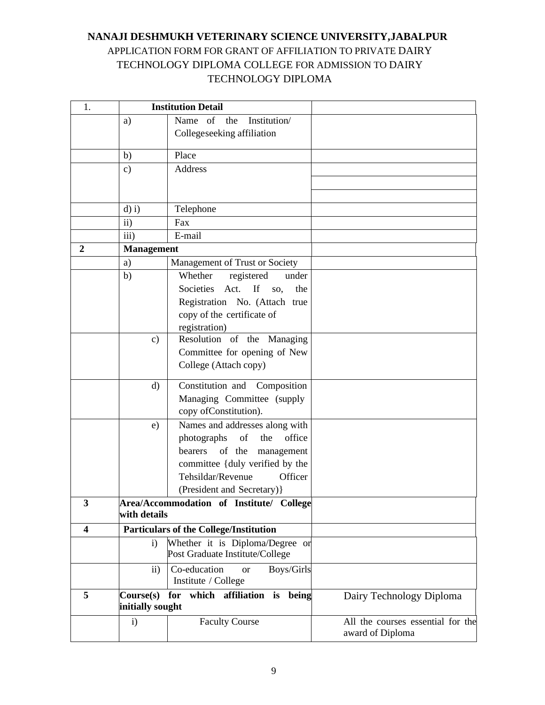# **NANAJI DESHMUKH VETERINARY SCIENCE UNIVERSITY,JABALPUR** APPLICATION FORM FOR GRANT OF AFFILIATION TO PRIVATE DAIRY TECHNOLOGY DIPLOMA COLLEGE FOR ADMISSION TO DAIRY TECHNOLOGY DIPLOMA

| 1.             |                           | <b>Institution Detail</b>                                 |                                   |
|----------------|---------------------------|-----------------------------------------------------------|-----------------------------------|
|                | a)                        | Name of<br>Institution/<br>the                            |                                   |
|                |                           | Collegeseeking affiliation                                |                                   |
|                |                           | Place                                                     |                                   |
|                | b)                        | Address                                                   |                                   |
|                | $\mathbf{c})$             |                                                           |                                   |
|                |                           |                                                           |                                   |
|                |                           |                                                           |                                   |
|                | $d$ ) i)<br>$\mathbf{ii}$ | Telephone<br>Fax                                          |                                   |
|                | iii)                      | E-mail                                                    |                                   |
| $\overline{2}$ |                           |                                                           |                                   |
|                | <b>Management</b>         |                                                           |                                   |
|                | a)                        | Management of Trust or Society                            |                                   |
|                | b)                        | Whether<br>registered<br>under<br>Act.<br>If<br>Societies |                                   |
|                |                           | the<br>SO,                                                |                                   |
|                |                           | Registration No. (Attach true                             |                                   |
|                |                           | copy of the certificate of                                |                                   |
|                | $\mathbf{c})$             | registration)<br>Resolution of the Managing               |                                   |
|                |                           | Committee for opening of New                              |                                   |
|                |                           | College (Attach copy)                                     |                                   |
|                |                           |                                                           |                                   |
|                | $\rm d$                   | Constitution and Composition                              |                                   |
|                |                           | Managing Committee (supply                                |                                   |
|                |                           | copy of Constitution).                                    |                                   |
|                | e)                        | Names and addresses along with                            |                                   |
|                |                           | the<br>office<br>photographs<br>of                        |                                   |
|                |                           | of the<br>bearers<br>management                           |                                   |
|                |                           | committee { duly verified by the                          |                                   |
|                |                           | Tehsildar/Revenue<br>Officer                              |                                   |
|                |                           | (President and Secretary) }                               |                                   |
| 3              |                           | Area/Accommodation of Institute/ College                  |                                   |
|                | with details              |                                                           |                                   |
| 4              |                           | <b>Particulars of the College/Institution</b>             |                                   |
|                | $\mathbf{i}$              | Whether it is Diploma/Degree or                           |                                   |
|                |                           | Post Graduate Institute/College                           |                                   |
|                | $\overline{11}$           | Co-education<br>Boys/Girls<br><b>or</b>                   |                                   |
|                |                           | Institute / College                                       |                                   |
| 5              | Course(s) for             | which affiliation is being                                | Dairy Technology Diploma          |
|                | initially sought          |                                                           |                                   |
|                | i)                        | <b>Faculty Course</b>                                     | All the courses essential for the |
|                |                           |                                                           | award of Diploma                  |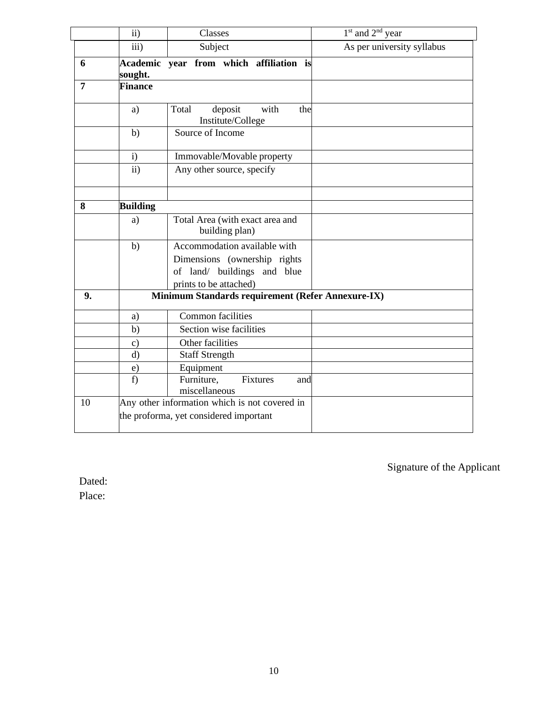|                | $\mathbf{ii}$   | Classes                                              | 1 <sup>st</sup> and 2 <sup>nd</sup> year |
|----------------|-----------------|------------------------------------------------------|------------------------------------------|
|                | iii)            | Subject                                              | As per university syllabus               |
| 6              | sought.         | Academic year from which affiliation is              |                                          |
| $\overline{7}$ | Finance         |                                                      |                                          |
|                | a)              | deposit<br>with<br>Total<br>the<br>Institute/College |                                          |
|                | b)              | Source of Income                                     |                                          |
|                | $\mathbf{i}$    | Immovable/Movable property                           |                                          |
|                | $\overline{ii}$ | Any other source, specify                            |                                          |
| 8              | <b>Building</b> |                                                      |                                          |
|                | a)              | Total Area (with exact area and<br>building plan)    |                                          |
|                | b)              | Accommodation available with                         |                                          |
|                |                 | Dimensions (ownership rights                         |                                          |
|                |                 | of land/ buildings and blue                          |                                          |
|                |                 | prints to be attached)                               |                                          |
| 9.             |                 | Minimum Standards requirement (Refer Annexure-IX)    |                                          |
|                | a)              | <b>Common facilities</b>                             |                                          |
|                | b)              | Section wise facilities                              |                                          |
|                | $\mathbf{c})$   | Other facilities                                     |                                          |
|                | $\rm d)$        | <b>Staff Strength</b>                                |                                          |
|                | $\mathbf{e})$   | Equipment                                            |                                          |
|                | f)              | Furniture,<br>Fixtures<br>and<br>miscellaneous       |                                          |
| 10             |                 | Any other information which is not covered in        |                                          |
|                |                 | the proforma, yet considered important               |                                          |

Signature of the Applicant

Dated:

Place: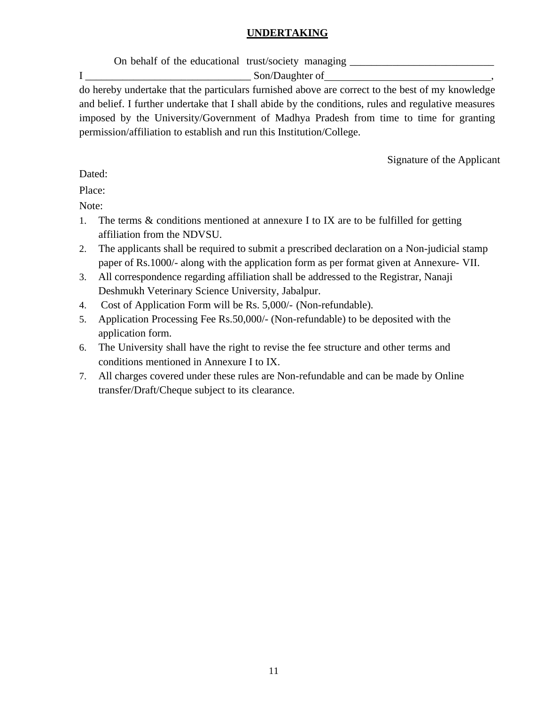### **UNDERTAKING**

On behalf of the educational trust/society managing \_\_\_\_\_\_\_\_\_\_\_\_\_\_\_\_\_\_\_\_\_\_\_\_\_\_\_\_

I Son/Daughter of

do hereby undertake that the particulars furnished above are correct to the best of my knowledge and belief. I further undertake that I shall abide by the conditions, rules and regulative measures imposed by the University/Government of Madhya Pradesh from time to time for granting permission/affiliation to establish and run this Institution/College.

Signature of the Applicant

Dated:

Place:

Note:

- 1. The terms & conditions mentioned at annexure I to IX are to be fulfilled for getting affiliation from the NDVSU.
- 2. The applicants shall be required to submit a prescribed declaration on a Non-judicial stamp paper of Rs.1000/- along with the application form as per format given at Annexure- VII.
- 3. All correspondence regarding affiliation shall be addressed to the Registrar, Nanaji Deshmukh Veterinary Science University, Jabalpur.
- 4. Cost of Application Form will be Rs. 5,000/- (Non-refundable).
- 5. Application Processing Fee Rs.50,000/- (Non-refundable) to be deposited with the application form.
- 6. The University shall have the right to revise the fee structure and other terms and conditions mentioned in Annexure I to IX.
- 7. All charges covered under these rules are Non-refundable and can be made by Online transfer/Draft/Cheque subject to its clearance.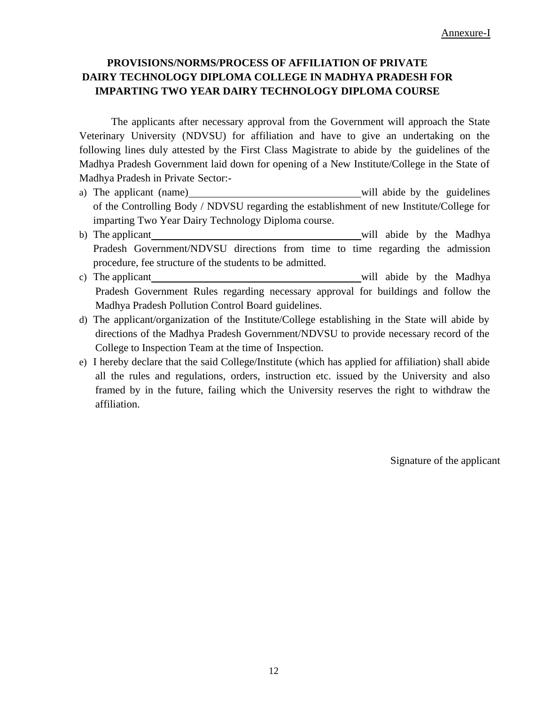# **PROVISIONS/NORMS/PROCESS OF AFFILIATION OF PRIVATE DAIRY TECHNOLOGY DIPLOMA COLLEGE IN MADHYA PRADESH FOR IMPARTING TWO YEAR DAIRY TECHNOLOGY DIPLOMA COURSE**

The applicants after necessary approval from the Government will approach the State Veterinary University (NDVSU) for affiliation and have to give an undertaking on the following lines duly attested by the First Class Magistrate to abide by the guidelines of the Madhya Pradesh Government laid down for opening of a New Institute/College in the State of Madhya Pradesh in Private Sector:-

- a) The applicant (name) will abide by the guidelines of the Controlling Body / NDVSU regarding the establishment of new Institute/College for imparting Two Year Dairy Technology Diploma course.
- b) The applicant will abide by the Madhya Pradesh Government/NDVSU directions from time to time regarding the admission procedure, fee structure of the students to be admitted.
- c) The applicant will abide by the Madhya Pradesh Government Rules regarding necessary approval for buildings and follow the Madhya Pradesh Pollution Control Board guidelines.
- d) The applicant/organization of the Institute/College establishing in the State will abide by directions of the Madhya Pradesh Government/NDVSU to provide necessary record of the College to Inspection Team at the time of Inspection.
- e) I hereby declare that the said College/Institute (which has applied for affiliation) shall abide all the rules and regulations, orders, instruction etc. issued by the University and also framed by in the future, failing which the University reserves the right to withdraw the affiliation.

Signature of the applicant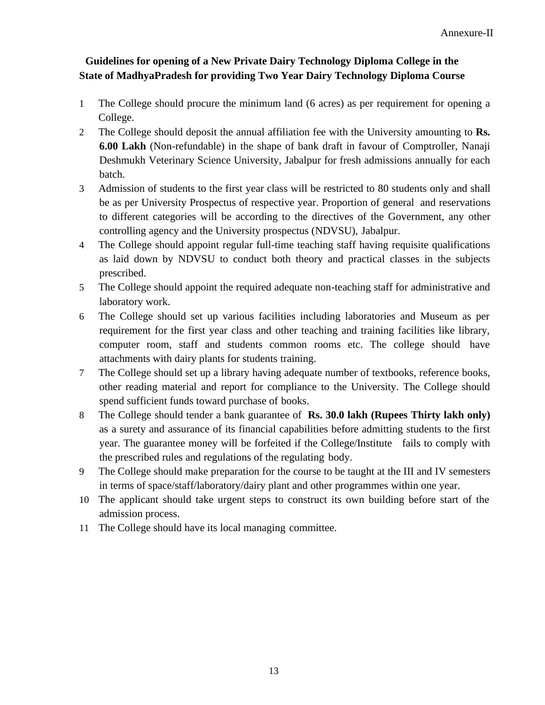# **Guidelines for opening of a New Private Dairy Technology Diploma College in the State of MadhyaPradesh for providing Two Year Dairy Technology Diploma Course**

- 1 The College should procure the minimum land (6 acres) as per requirement for opening a College.
- 2 The College should deposit the annual affiliation fee with the University amounting to **Rs. 6.00 Lakh** (Non-refundable) in the shape of bank draft in favour of Comptroller, Nanaji Deshmukh Veterinary Science University, Jabalpur for fresh admissions annually for each batch.
- 3 Admission of students to the first year class will be restricted to 80 students only and shall be as per University Prospectus of respective year. Proportion of general and reservations to different categories will be according to the directives of the Government, any other controlling agency and the University prospectus (NDVSU), Jabalpur.
- 4 The College should appoint regular full-time teaching staff having requisite qualifications as laid down by NDVSU to conduct both theory and practical classes in the subjects prescribed.
- 5 The College should appoint the required adequate non-teaching staff for administrative and laboratory work.
- 6 The College should set up various facilities including laboratories and Museum as per requirement for the first year class and other teaching and training facilities like library, computer room, staff and students common rooms etc. The college should have attachments with dairy plants for students training.
- 7 The College should set up a library having adequate number of textbooks, reference books, other reading material and report for compliance to the University. The College should spend sufficient funds toward purchase of books.
- 8 The College should tender a bank guarantee of **Rs. 30.0 lakh (Rupees Thirty lakh only)** as a surety and assurance of its financial capabilities before admitting students to the first year. The guarantee money will be forfeited if the College/Institute fails to comply with the prescribed rules and regulations of the regulating body.
- 9 The College should make preparation for the course to be taught at the III and IV semesters in terms of space/staff/laboratory/dairy plant and other programmes within one year.
- 10 The applicant should take urgent steps to construct its own building before start of the admission process.
- 11 The College should have its local managing committee.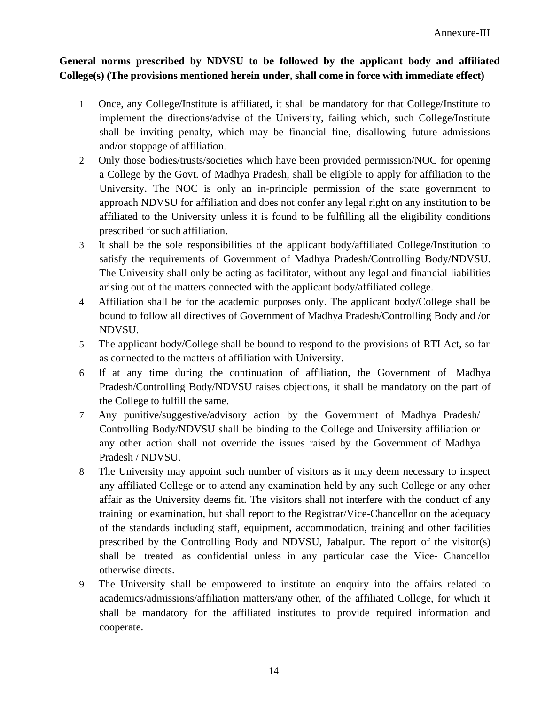## **General norms prescribed by NDVSU to be followed by the applicant body and affiliated College(s) (The provisions mentioned herein under, shall come in force with immediate effect)**

- 1 Once, any College/Institute is affiliated, it shall be mandatory for that College/Institute to implement the directions/advise of the University, failing which, such College/Institute shall be inviting penalty, which may be financial fine, disallowing future admissions and/or stoppage of affiliation.
- 2 Only those bodies/trusts/societies which have been provided permission/NOC for opening a College by the Govt. of Madhya Pradesh, shall be eligible to apply for affiliation to the University. The NOC is only an in-principle permission of the state government to approach NDVSU for affiliation and does not confer any legal right on any institution to be affiliated to the University unless it is found to be fulfilling all the eligibility conditions prescribed for such affiliation.
- 3 It shall be the sole responsibilities of the applicant body/affiliated College/Institution to satisfy the requirements of Government of Madhya Pradesh/Controlling Body/NDVSU. The University shall only be acting as facilitator, without any legal and financial liabilities arising out of the matters connected with the applicant body/affiliated college.
- 4 Affiliation shall be for the academic purposes only. The applicant body/College shall be bound to follow all directives of Government of Madhya Pradesh/Controlling Body and /or NDVSU.
- 5 The applicant body/College shall be bound to respond to the provisions of RTI Act, so far as connected to the matters of affiliation with University.
- 6 If at any time during the continuation of affiliation, the Government of Madhya Pradesh/Controlling Body/NDVSU raises objections, it shall be mandatory on the part of the College to fulfill the same.
- 7 Any punitive/suggestive/advisory action by the Government of Madhya Pradesh/ Controlling Body/NDVSU shall be binding to the College and University affiliation or any other action shall not override the issues raised by the Government of Madhya Pradesh / NDVSU.
- 8 The University may appoint such number of visitors as it may deem necessary to inspect any affiliated College or to attend any examination held by any such College or any other affair as the University deems fit. The visitors shall not interfere with the conduct of any training or examination, but shall report to the Registrar/Vice-Chancellor on the adequacy of the standards including staff, equipment, accommodation, training and other facilities prescribed by the Controlling Body and NDVSU, Jabalpur. The report of the visitor(s) shall be treated as confidential unless in any particular case the Vice- Chancellor otherwise directs.
- 9 The University shall be empowered to institute an enquiry into the affairs related to academics/admissions/affiliation matters/any other, of the affiliated College, for which it shall be mandatory for the affiliated institutes to provide required information and cooperate.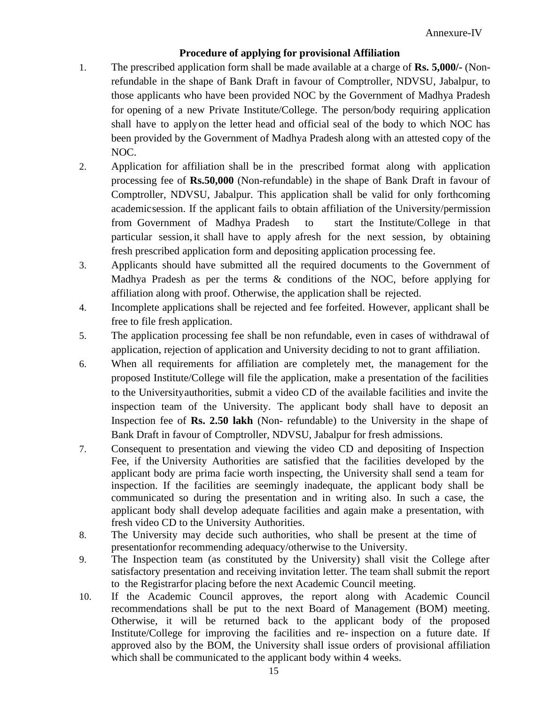### **Procedure of applying for provisional Affiliation**

- 1. The prescribed application form shall be made available at a charge of **Rs. 5,000/-** (Nonrefundable in the shape of Bank Draft in favour of Comptroller, NDVSU, Jabalpur, to those applicants who have been provided NOC by the Government of Madhya Pradesh for opening of a new Private Institute/College. The person/body requiring application shall have to applyon the letter head and official seal of the body to which NOC has been provided by the Government of Madhya Pradesh along with an attested copy of the NOC.
- 2. Application for affiliation shall be in the prescribed format along with application processing fee of **Rs.50,000** (Non-refundable) in the shape of Bank Draft in favour of Comptroller, NDVSU, Jabalpur. This application shall be valid for only forthcoming academicsession. If the applicant fails to obtain affiliation of the University/permission from Government of Madhya Pradesh to start the Institute/College in that particular session, it shall have to apply afresh for the next session, by obtaining fresh prescribed application form and depositing application processing fee.
- 3. Applicants should have submitted all the required documents to the Government of Madhya Pradesh as per the terms & conditions of the NOC, before applying for affiliation along with proof. Otherwise, the application shall be rejected.
- 4. Incomplete applications shall be rejected and fee forfeited. However, applicant shall be free to file fresh application.
- 5. The application processing fee shall be non refundable, even in cases of withdrawal of application, rejection of application and University deciding to not to grant affiliation.
- 6. When all requirements for affiliation are completely met, the management for the proposed Institute/College will file the application, make a presentation of the facilities to the Universityauthorities, submit a video CD of the available facilities and invite the inspection team of the University. The applicant body shall have to deposit an Inspection fee of **Rs. 2.50 lakh** (Non- refundable) to the University in the shape of Bank Draft in favour of Comptroller, NDVSU, Jabalpur for fresh admissions.
- 7. Consequent to presentation and viewing the video CD and depositing of Inspection Fee, if the University Authorities are satisfied that the facilities developed by the applicant body are prima facie worth inspecting, the University shall send a team for inspection. If the facilities are seemingly inadequate, the applicant body shall be communicated so during the presentation and in writing also. In such a case, the applicant body shall develop adequate facilities and again make a presentation, with fresh video CD to the University Authorities.
- 8. The University may decide such authorities, who shall be present at the time of presentationfor recommending adequacy/otherwise to the University.
- 9. The Inspection team (as constituted by the University) shall visit the College after satisfactory presentation and receiving invitation letter. The team shall submit the report to the Registrarfor placing before the next Academic Council meeting.
- 10. If the Academic Council approves, the report along with Academic Council recommendations shall be put to the next Board of Management (BOM) meeting. Otherwise, it will be returned back to the applicant body of the proposed Institute/College for improving the facilities and re- inspection on a future date. If approved also by the BOM, the University shall issue orders of provisional affiliation which shall be communicated to the applicant body within 4 weeks.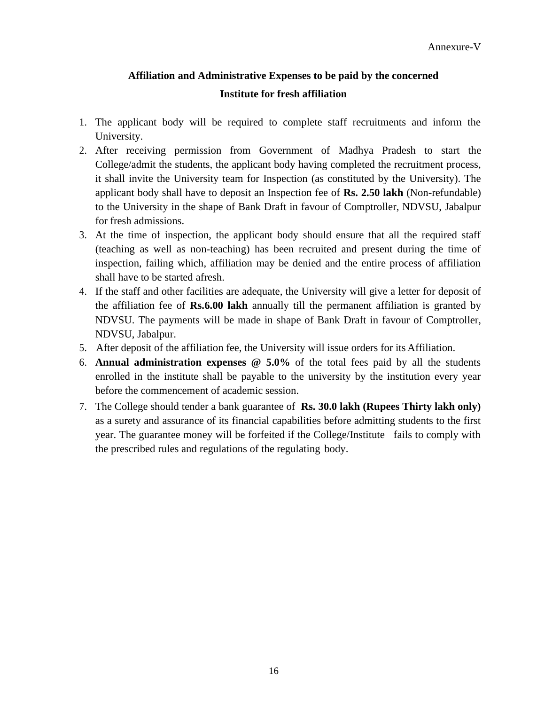# **Affiliation and Administrative Expenses to be paid by the concerned Institute for fresh affiliation**

- 1. The applicant body will be required to complete staff recruitments and inform the University.
- 2. After receiving permission from Government of Madhya Pradesh to start the College/admit the students, the applicant body having completed the recruitment process, it shall invite the University team for Inspection (as constituted by the University). The applicant body shall have to deposit an Inspection fee of **Rs. 2.50 lakh** (Non-refundable) to the University in the shape of Bank Draft in favour of Comptroller, NDVSU, Jabalpur for fresh admissions.
- 3. At the time of inspection, the applicant body should ensure that all the required staff (teaching as well as non-teaching) has been recruited and present during the time of inspection, failing which, affiliation may be denied and the entire process of affiliation shall have to be started afresh.
- 4. If the staff and other facilities are adequate, the University will give a letter for deposit of the affiliation fee of **Rs.6.00 lakh** annually till the permanent affiliation is granted by NDVSU. The payments will be made in shape of Bank Draft in favour of Comptroller, NDVSU, Jabalpur.
- 5. After deposit of the affiliation fee, the University will issue orders for its Affiliation.
- 6. **Annual administration expenses @ 5.0%** of the total fees paid by all the students enrolled in the institute shall be payable to the university by the institution every year before the commencement of academic session.
- 7. The College should tender a bank guarantee of **Rs. 30.0 lakh (Rupees Thirty lakh only)** as a surety and assurance of its financial capabilities before admitting students to the first year. The guarantee money will be forfeited if the College/Institute fails to comply with the prescribed rules and regulations of the regulating body.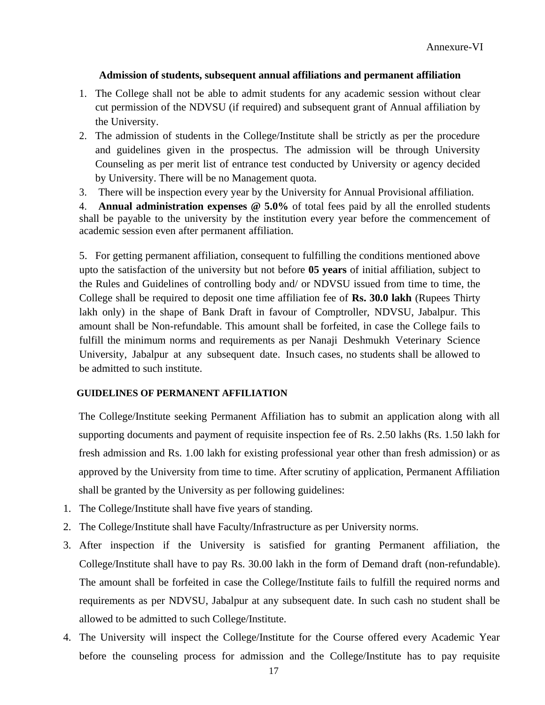### **Admission of students, subsequent annual affiliations and permanent affiliation**

- 1. The College shall not be able to admit students for any academic session without clear cut permission of the NDVSU (if required) and subsequent grant of Annual affiliation by the University.
- 2. The admission of students in the College/Institute shall be strictly as per the procedure and guidelines given in the prospectus. The admission will be through University Counseling as per merit list of entrance test conducted by University or agency decided by University. There will be no Management quota.
- 3. There will be inspection every year by the University for Annual Provisional affiliation.

4. **Annual administration expenses @ 5.0%** of total fees paid by all the enrolled students shall be payable to the university by the institution every year before the commencement of academic session even after permanent affiliation.

5. For getting permanent affiliation, consequent to fulfilling the conditions mentioned above upto the satisfaction of the university but not before **05 years** of initial affiliation, subject to the Rules and Guidelines of controlling body and/ or NDVSU issued from time to time, the College shall be required to deposit one time affiliation fee of **Rs. 30.0 lakh** (Rupees Thirty lakh only) in the shape of Bank Draft in favour of Comptroller, NDVSU, Jabalpur. This amount shall be Non-refundable. This amount shall be forfeited, in case the College fails to fulfill the minimum norms and requirements as per Nanaji Deshmukh Veterinary Science University, Jabalpur at any subsequent date. Insuch cases, no students shall be allowed to be admitted to such institute.

#### **GUIDELINES OF PERMANENT AFFILIATION**

The College/Institute seeking Permanent Affiliation has to submit an application along with all supporting documents and payment of requisite inspection fee of Rs. 2.50 lakhs (Rs. 1.50 lakh for fresh admission and Rs. 1.00 lakh for existing professional year other than fresh admission) or as approved by the University from time to time. After scrutiny of application, Permanent Affiliation shall be granted by the University as per following guidelines:

- 1. The College/Institute shall have five years of standing.
- 2. The College/Institute shall have Faculty/Infrastructure as per University norms.
- 3. After inspection if the University is satisfied for granting Permanent affiliation, the College/Institute shall have to pay Rs. 30.00 lakh in the form of Demand draft (non-refundable). The amount shall be forfeited in case the College/Institute fails to fulfill the required norms and requirements as per NDVSU, Jabalpur at any subsequent date. In such cash no student shall be allowed to be admitted to such College/Institute.
- 4. The University will inspect the College/Institute for the Course offered every Academic Year before the counseling process for admission and the College/Institute has to pay requisite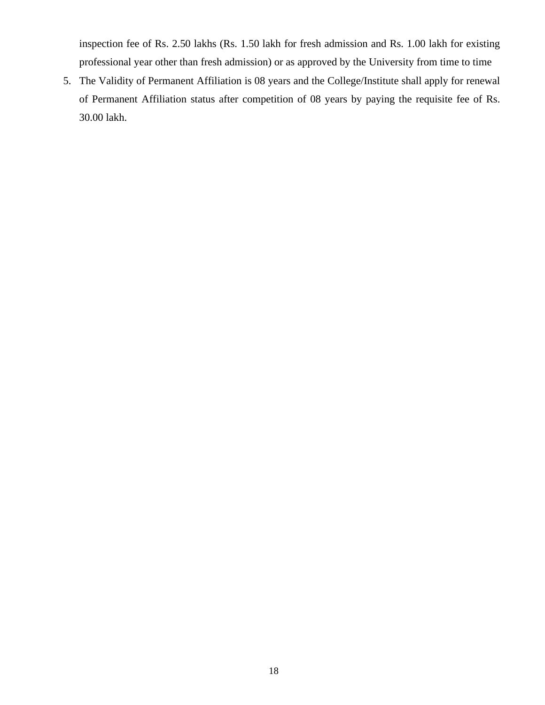inspection fee of Rs. 2.50 lakhs (Rs. 1.50 lakh for fresh admission and Rs. 1.00 lakh for existing professional year other than fresh admission) or as approved by the University from time to time

5. The Validity of Permanent Affiliation is 08 years and the College/Institute shall apply for renewal of Permanent Affiliation status after competition of 08 years by paying the requisite fee of Rs. 30.00 lakh.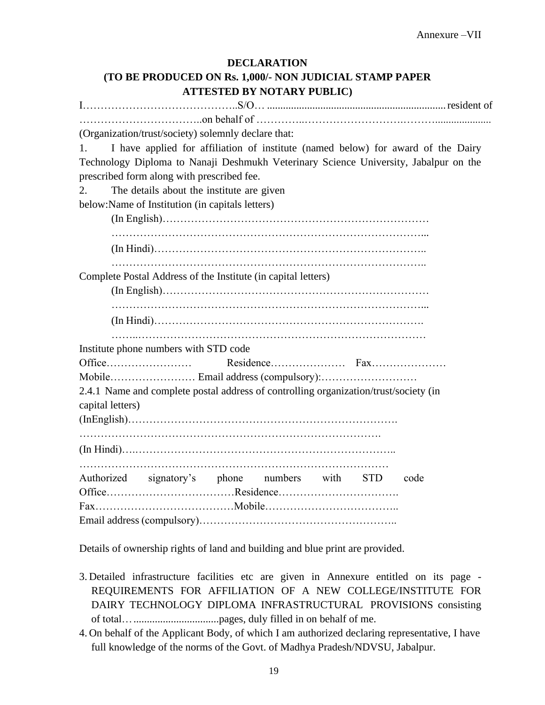## **DECLARATION (TO BE PRODUCED ON Rs. 1,000/- NON JUDICIAL STAMP PAPER ATTESTED BY NOTARY PUBLIC)**

I……………………………………..S/O… ...................................................................resident of ……………………………..on behalf of …………..……………………….………..................... (Organization/trust/society) solemnly declare that: 1. I have applied for affiliation of institute (named below) for award of the Dairy Technology Diploma to Nanaji Deshmukh Veterinary Science University, Jabalpur on the prescribed form along with prescribed fee. 2. The details about the institute are given below:Name of Institution (in capitals letters) (In English)………………………………………………………………… ……………………………………………………………………………... (In Hindi)………………………………………………………………….. …………………………………………………………………………….. Complete Postal Address of the Institute (in capital letters) (In English)………………………………………………………………… ……………………………………………………………………………... (In Hindi)…………………………………………………………………. ……..……………………………………………………………………… Institute phone numbers with STD code Office…………………… Residence………………… Fax………………… Mobile…………………… Email address (compulsory):……………………… 2.4.1 Name and complete postal address of controlling organization/trust/society (in capital letters) (InEnglish)…………………………………………………………………. …………………………………………………………………………. (In Hindi)….……………………………………………………………….. …………………………………………………………………………… Authorized signatory's phone numbers with STD code Office………………………………Residence……………………………. Fax…………………………………Mobile……………………………….. Email address (compulsory)………………………………………………..

Details of ownership rights of land and building and blue print are provided.

- 3. Detailed infrastructure facilities etc are given in Annexure entitled on its page REQUIREMENTS FOR AFFILIATION OF A NEW COLLEGE/INSTITUTE FOR DAIRY TECHNOLOGY DIPLOMA INFRASTRUCTURAL PROVISIONS consisting of total…................................pages, duly filled in on behalf of me.
- 4. On behalf of the Applicant Body, of which I am authorized declaring representative, I have full knowledge of the norms of the Govt. of Madhya Pradesh/NDVSU, Jabalpur.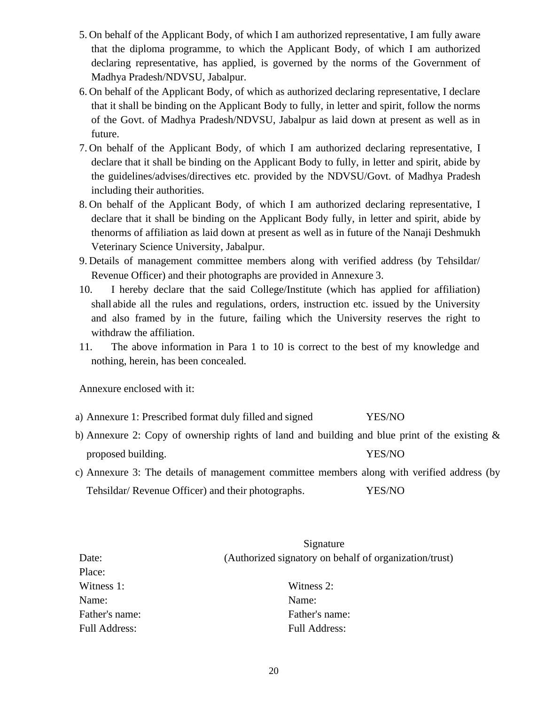- 5. On behalf of the Applicant Body, of which I am authorized representative, I am fully aware that the diploma programme, to which the Applicant Body, of which I am authorized declaring representative, has applied, is governed by the norms of the Government of Madhya Pradesh/NDVSU, Jabalpur.
- 6. On behalf of the Applicant Body, of which as authorized declaring representative, I declare that it shall be binding on the Applicant Body to fully, in letter and spirit, follow the norms of the Govt. of Madhya Pradesh/NDVSU, Jabalpur as laid down at present as well as in future.
- 7. On behalf of the Applicant Body, of which I am authorized declaring representative, I declare that it shall be binding on the Applicant Body to fully, in letter and spirit, abide by the guidelines/advises/directives etc. provided by the NDVSU/Govt. of Madhya Pradesh including their authorities.
- 8. On behalf of the Applicant Body, of which I am authorized declaring representative, I declare that it shall be binding on the Applicant Body fully, in letter and spirit, abide by thenorms of affiliation as laid down at present as well as in future of the Nanaji Deshmukh Veterinary Science University, Jabalpur.
- 9. Details of management committee members along with verified address (by Tehsildar/ Revenue Officer) and their photographs are provided in Annexure 3.
- 10. I hereby declare that the said College/Institute (which has applied for affiliation) shall abide all the rules and regulations, orders, instruction etc. issued by the University and also framed by in the future, failing which the University reserves the right to withdraw the affiliation.
- 11. The above information in Para 1 to 10 is correct to the best of my knowledge and nothing, herein, has been concealed.

Annexure enclosed with it:

- a) Annexure 1: Prescribed format duly filled and signed YES/NO
- b) Annexure 2: Copy of ownership rights of land and building and blue print of the existing & proposed building. YES/NO
- c) Annexure 3: The details of management committee members along with verified address (by Tehsildar/ Revenue Officer) and their photographs. YES/NO

|                      | Signature                                              |
|----------------------|--------------------------------------------------------|
| Date:                | (Authorized signatory on behalf of organization/trust) |
| Place:               |                                                        |
| Witness 1:           | Witness 2:                                             |
| Name:                | Name:                                                  |
| Father's name:       | Father's name:                                         |
| <b>Full Address:</b> | <b>Full Address:</b>                                   |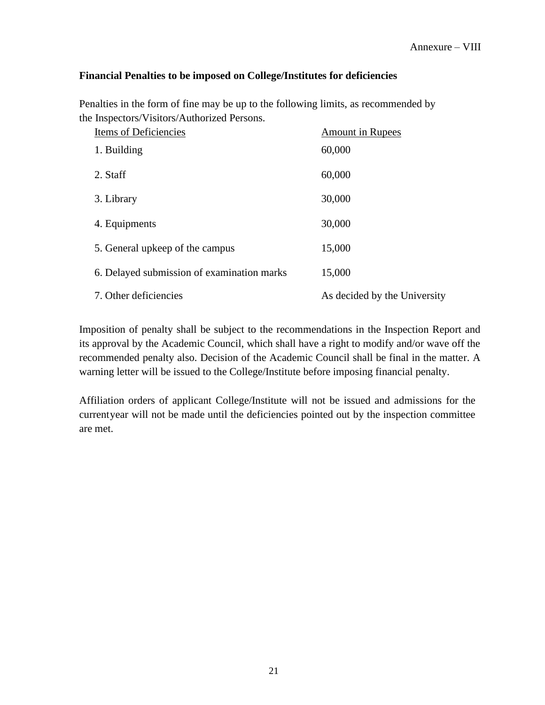### **Financial Penalties to be imposed on College/Institutes for deficiencies**

Penalties in the form of fine may be up to the following limits, as recommended by the Inspectors/Visitors/Authorized Persons.

| Items of Deficiencies                      | <b>Amount in Rupees</b>      |
|--------------------------------------------|------------------------------|
| 1. Building                                | 60,000                       |
| 2. Staff                                   | 60,000                       |
| 3. Library                                 | 30,000                       |
| 4. Equipments                              | 30,000                       |
| 5. General upkeep of the campus            | 15,000                       |
| 6. Delayed submission of examination marks | 15,000                       |
| 7. Other deficiencies                      | As decided by the University |

Imposition of penalty shall be subject to the recommendations in the Inspection Report and its approval by the Academic Council, which shall have a right to modify and/or wave off the recommended penalty also. Decision of the Academic Council shall be final in the matter. A warning letter will be issued to the College/Institute before imposing financial penalty.

Affiliation orders of applicant College/Institute will not be issued and admissions for the currentyear will not be made until the deficiencies pointed out by the inspection committee are met.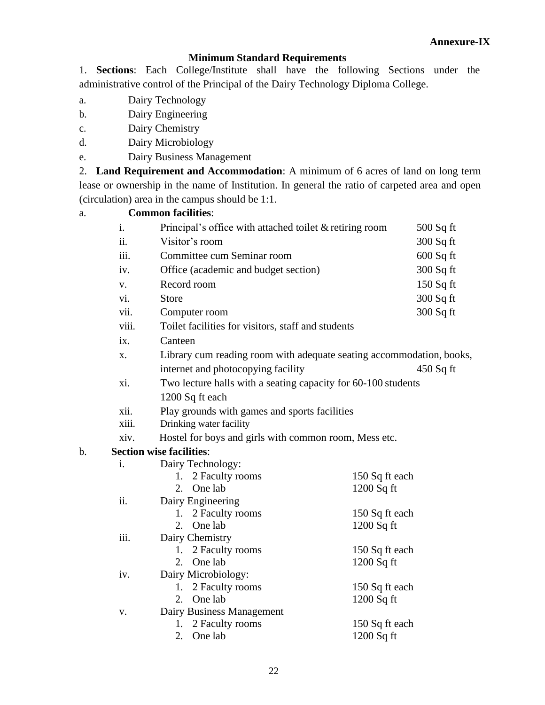### **Annexure-IX**

### **Minimum Standard Requirements**

1. **Sections**: Each College/Institute shall have the following Sections under the administrative control of the Principal of the Dairy Technology Diploma College.

- a. Dairy Technology
- b. Dairy Engineering
- c. Dairy Chemistry
- d. Dairy Microbiology
- e. Dairy Business Management

2. **Land Requirement and Accommodation**: A minimum of 6 acres of land on long term lease or ownership in the name of Institution. In general the ratio of carpeted area and open (circulation) area in the campus should be 1:1.

### a. **Common facilities**:

|    | i.             | Principal's office with attached toilet & retiring room              | 500 Sq ft      |  |  |  |  |
|----|----------------|----------------------------------------------------------------------|----------------|--|--|--|--|
|    | ii.            | Visitor's room                                                       | 300 Sq ft      |  |  |  |  |
|    | iii.           | Committee cum Seminar room                                           | 600 Sq ft      |  |  |  |  |
|    | iv.            | Office (academic and budget section)                                 | 300 Sq ft      |  |  |  |  |
|    | V.             | Record room                                                          | 150 Sq ft      |  |  |  |  |
|    | vi.            | <b>Store</b>                                                         | 300 Sq ft      |  |  |  |  |
|    | vii.           | Computer room                                                        | 300 Sq ft      |  |  |  |  |
|    | viii.          | Toilet facilities for visitors, staff and students                   |                |  |  |  |  |
|    | ix.            | Canteen                                                              |                |  |  |  |  |
|    | X.             | Library cum reading room with adequate seating accommodation, books, |                |  |  |  |  |
|    |                | internet and photocopying facility                                   | $450$ Sq ft    |  |  |  |  |
|    | xi.            | Two lecture halls with a seating capacity for 60-100 students        |                |  |  |  |  |
|    |                | 1200 Sq ft each                                                      |                |  |  |  |  |
|    | xii.           | Play grounds with games and sports facilities                        |                |  |  |  |  |
|    | xiii.          | Drinking water facility                                              |                |  |  |  |  |
|    | xiv.           | Hostel for boys and girls with common room, Mess etc.                |                |  |  |  |  |
| b. |                | <b>Section wise facilities:</b>                                      |                |  |  |  |  |
|    | $\mathbf{i}$ . | Dairy Technology:                                                    |                |  |  |  |  |
|    |                | 2 Faculty rooms<br>1.<br>One lab<br>2.                               | 150 Sq ft each |  |  |  |  |
|    | ii.            | 1200 Sq ft<br>Dairy Engineering                                      |                |  |  |  |  |
|    |                | 1. 2 Faculty rooms                                                   | 150 Sq ft each |  |  |  |  |
|    |                | One lab<br>2.<br>$1200$ Sq ft                                        |                |  |  |  |  |
|    | iii.           | Dairy Chemistry                                                      |                |  |  |  |  |
|    |                | 1. 2 Faculty rooms                                                   | 150 Sq ft each |  |  |  |  |
|    |                | One lab<br>2.<br>$1200$ Sq ft                                        |                |  |  |  |  |
|    | iv.            | Dairy Microbiology:                                                  |                |  |  |  |  |
|    |                | 1. 2 Faculty rooms<br>One lab<br>2.<br>$1200$ Sq ft                  | 150 Sq ft each |  |  |  |  |
|    | ${\bf V}$ .    | Dairy Business Management                                            |                |  |  |  |  |
|    |                | 2 Faculty rooms<br>1.                                                | 150 Sq ft each |  |  |  |  |
|    |                | One lab<br>$1200$ Sq ft<br>2.                                        |                |  |  |  |  |
|    |                |                                                                      |                |  |  |  |  |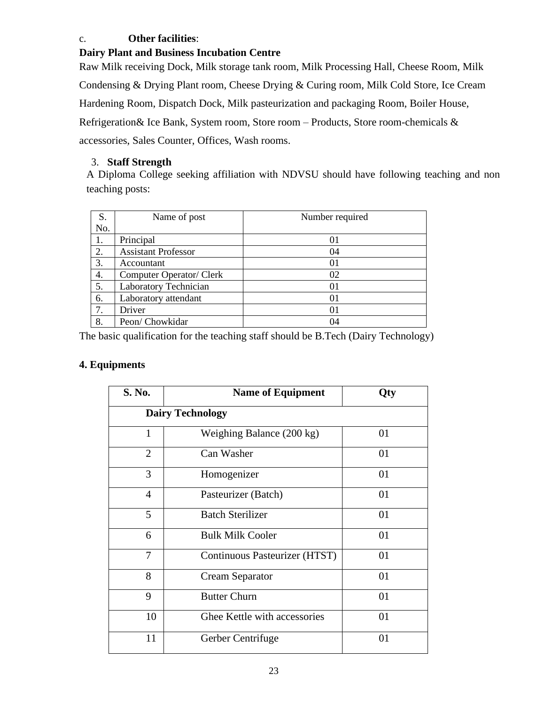### c. **Other facilities**:

### **Dairy Plant and Business Incubation Centre**

Raw Milk receiving Dock, Milk storage tank room, Milk Processing Hall, Cheese Room, Milk Condensing & Drying Plant room, Cheese Drying & Curing room, Milk Cold Store, Ice Cream Hardening Room, Dispatch Dock, Milk pasteurization and packaging Room, Boiler House, Refrigeration& Ice Bank, System room, Store room – Products, Store room-chemicals & accessories, Sales Counter, Offices, Wash rooms.

# 3. **Staff Strength**

A Diploma College seeking affiliation with NDVSU should have following teaching and non teaching posts:

| S.  | Name of post               | Number required |
|-----|----------------------------|-----------------|
| No. |                            |                 |
| 1.  | Principal                  | 01              |
| 2.  | <b>Assistant Professor</b> | 04              |
| 3.  | Accountant                 | 01              |
| 4.  | Computer Operator/ Clerk   | 02              |
| 5.  | Laboratory Technician      | 01              |
| 6.  | Laboratory attendant       | 01              |
| 7.  | Driver                     | 01              |
| 8.  | Peon/Chowkidar             | 04              |

The basic qualification for the teaching staff should be B.Tech (Dairy Technology)

# **4. Equipments**

| S. No.         | <b>Name of Equipment</b>      | Qty |
|----------------|-------------------------------|-----|
|                | <b>Dairy Technology</b>       |     |
| 1              | Weighing Balance (200 kg)     | 01  |
| $\overline{2}$ | Can Washer                    | 01  |
| 3              | Homogenizer                   | 01  |
| $\overline{4}$ | Pasteurizer (Batch)           | 01  |
| 5              | <b>Batch Sterilizer</b>       | 01  |
| 6              | <b>Bulk Milk Cooler</b>       | 01  |
| 7              | Continuous Pasteurizer (HTST) | 01  |
| 8              | Cream Separator               | 01  |
| 9              | <b>Butter Churn</b>           | 01  |
| 10             | Ghee Kettle with accessories  | 01  |
| 11             | Gerber Centrifuge             | 01  |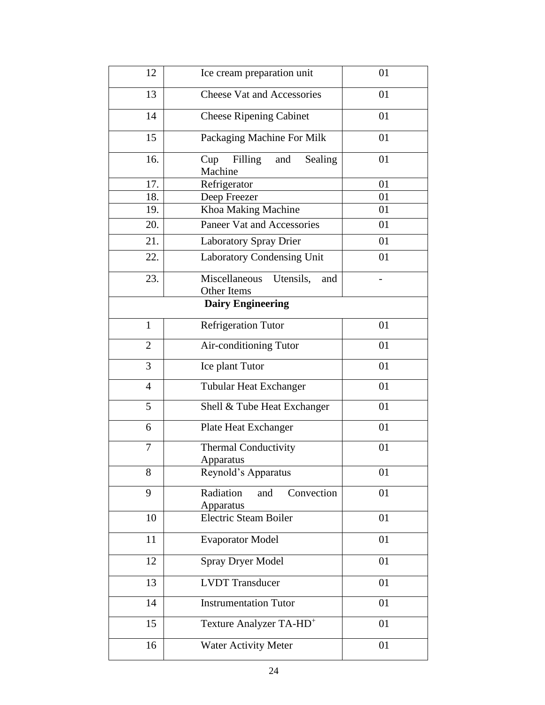| 12             | Ice cream preparation unit                       | 01 |
|----------------|--------------------------------------------------|----|
| 13             | <b>Cheese Vat and Accessories</b>                | 01 |
| 14             | <b>Cheese Ripening Cabinet</b>                   | 01 |
| 15             | Packaging Machine For Milk                       | 01 |
| 16.            | Filling<br>Sealing<br>Cup<br>and<br>Machine      | 01 |
| 17.            | Refrigerator                                     | 01 |
| 18.            | Deep Freezer                                     | 01 |
| 19.            | Khoa Making Machine                              | 01 |
| 20.            | Paneer Vat and Accessories                       | 01 |
| 21.            | <b>Laboratory Spray Drier</b>                    | 01 |
| 22.            | Laboratory Condensing Unit                       | 01 |
| 23.            | Miscellaneous<br>Utensils,<br>and<br>Other Items |    |
|                | <b>Dairy Engineering</b>                         |    |
| $\mathbf{1}$   | <b>Refrigeration Tutor</b>                       | 01 |
| $\overline{2}$ | Air-conditioning Tutor                           | 01 |
| 3              | Ice plant Tutor                                  | 01 |
| $\overline{4}$ | <b>Tubular Heat Exchanger</b>                    | 01 |
| 5              | Shell & Tube Heat Exchanger                      | 01 |
| 6              | Plate Heat Exchanger                             | 01 |
| 7              | <b>Thermal Conductivity</b><br>Apparatus         | 01 |
| 8              | Reynold's Apparatus                              | 01 |
| 9              | Radiation<br>Convection<br>and<br>Apparatus      | 01 |
| 10             | Electric Steam Boiler                            | 01 |
| 11             | <b>Evaporator Model</b>                          | 01 |
| 12             | <b>Spray Dryer Model</b>                         | 01 |
| 13             | <b>LVDT</b> Transducer                           | 01 |
| 14             | <b>Instrumentation Tutor</b>                     | 01 |
| 15             | Texture Analyzer TA-HD <sup>+</sup>              | 01 |
| 16             | <b>Water Activity Meter</b>                      | 01 |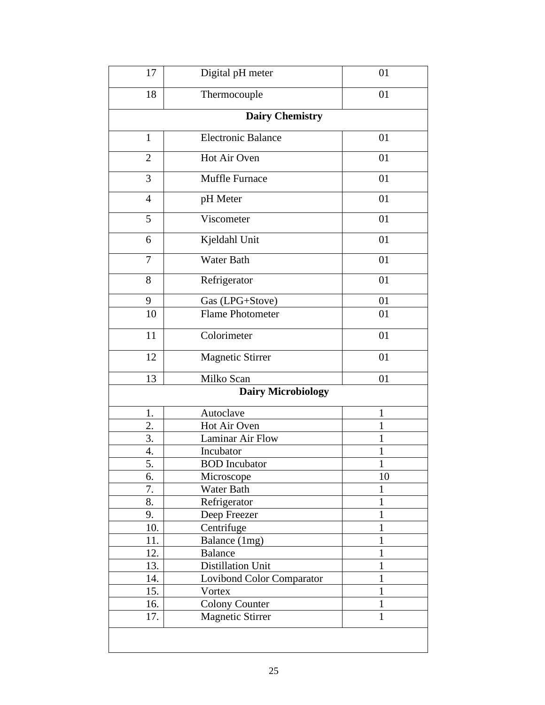| 17             | Digital pH meter                | 01           |
|----------------|---------------------------------|--------------|
| 18             | Thermocouple                    | 01           |
|                | <b>Dairy Chemistry</b>          |              |
| $\mathbf{1}$   | <b>Electronic Balance</b>       | 01           |
| $\overline{2}$ | Hot Air Oven                    | 01           |
| 3              | Muffle Furnace                  | 01           |
| $\overline{4}$ | pH Meter                        | 01           |
| 5              | Viscometer                      | 01           |
| 6              | Kjeldahl Unit                   | 01           |
| $\overline{7}$ | <b>Water Bath</b>               | 01           |
| 8              | Refrigerator                    | 01           |
| 9              | Gas (LPG+Stove)                 | 01           |
| 10             | Flame Photometer                | 01           |
| 11             | Colorimeter                     | 01           |
| 12             | <b>Magnetic Stirrer</b>         | 01           |
| 13             | Milko Scan                      | 01           |
|                | <b>Dairy Microbiology</b>       |              |
| 1.             | Autoclave                       | $\mathbf{1}$ |
| 2.             | Hot Air Oven                    | 1            |
| 3.             | Laminar Air Flow                | 1            |
| 4.             | Incubator                       | 1            |
| 5.             | <b>BOD</b> Incubator            | 1            |
| 6.             | Microscope                      | 10           |
| 7.             | Water Bath                      | 1            |
| 8.             | Refrigerator                    | 1            |
| 9.             | Deep Freezer                    | $\mathbf 1$  |
| 10.            | Centrifuge                      | 1            |
|                | Balance (1mg)                   | $\mathbf{1}$ |
|                |                                 |              |
| 11.            |                                 | $\mathbf{1}$ |
| 12.            | <b>Balance</b>                  | 1            |
| 13.            | Distillation Unit               | $\mathbf{1}$ |
| 14.            | Lovibond Color Comparator       | $\mathbf{1}$ |
| 15.<br>16.     | Vortex<br><b>Colony Counter</b> | $\mathbf{1}$ |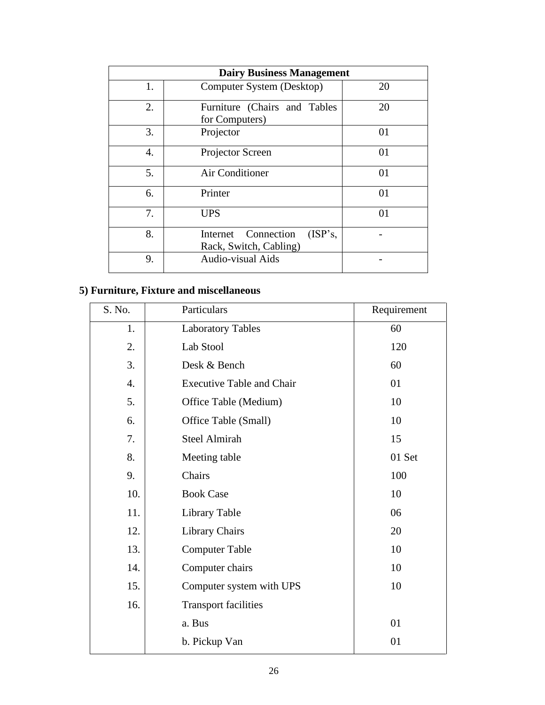| <b>Dairy Business Management</b> |                                                             |            |  |
|----------------------------------|-------------------------------------------------------------|------------|--|
| 1.                               | Computer System (Desktop)                                   | 20         |  |
| 2.                               | Furniture (Chairs and Tables<br>for Computers)              | 20         |  |
| 3.                               | Projector                                                   | 01         |  |
| 4.                               | Projector Screen                                            | 01         |  |
| 5.                               | Air Conditioner                                             | 01         |  |
| 6.                               | Printer                                                     | 01         |  |
| 7.                               | <b>UPS</b>                                                  | $\Omega$ 1 |  |
| 8.                               | Connection<br>(ISP's,<br>Internet<br>Rack, Switch, Cabling) |            |  |
| 9.                               | Audio-visual Aids                                           |            |  |

# **5) Furniture, Fixture and miscellaneous**

| S. No.           | Particulars                      | Requirement |
|------------------|----------------------------------|-------------|
| 1.               | <b>Laboratory Tables</b>         | 60          |
| 2.               | Lab Stool                        | 120         |
| 3.               | Desk & Bench                     | 60          |
| $\overline{4}$ . | <b>Executive Table and Chair</b> | 01          |
| 5.               | Office Table (Medium)            | 10          |
| 6.               | Office Table (Small)             | 10          |
| 7.               | <b>Steel Almirah</b>             | 15          |
| 8.               | Meeting table                    | 01 Set      |
| 9.               | Chairs                           | 100         |
| 10.              | <b>Book Case</b>                 | 10          |
| 11.              | Library Table                    | 06          |
| 12.              | <b>Library Chairs</b>            | 20          |
| 13.              | <b>Computer Table</b>            | 10          |
| 14.              | Computer chairs                  | 10          |
| 15.              | Computer system with UPS         | 10          |
| 16.              | <b>Transport facilities</b>      |             |
|                  | a. Bus                           | 01          |
|                  | b. Pickup Van                    | 01          |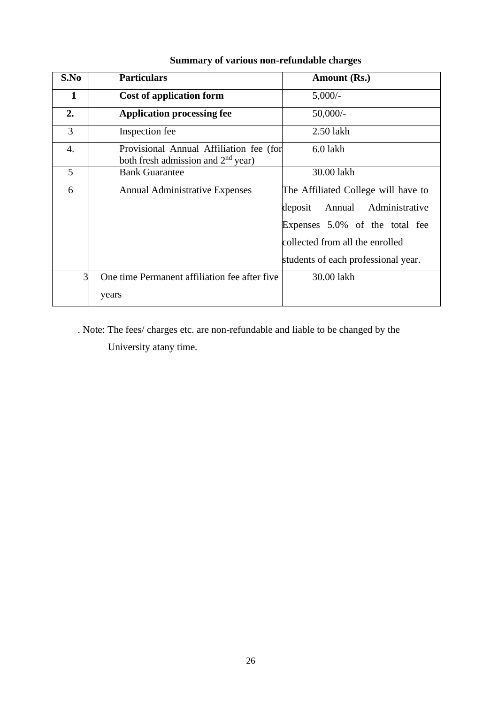| S.No           | <b>Particulars</b>                                                              | Amount (Rs.)                                                                                                                                                                           |
|----------------|---------------------------------------------------------------------------------|----------------------------------------------------------------------------------------------------------------------------------------------------------------------------------------|
| 1              | Cost of application form                                                        | $5,000/-$                                                                                                                                                                              |
| 2.             | <b>Application processing fee</b>                                               | $50,000/-$                                                                                                                                                                             |
| 3              | Inspection fee                                                                  | $2.50$ lakh                                                                                                                                                                            |
| 4.             | Provisional Annual Affiliation fee (for<br>both fresh admission and $2nd$ year) | $6.0$ lakh                                                                                                                                                                             |
| 5              | <b>Bank Guarantee</b>                                                           | 30.00 lakh                                                                                                                                                                             |
| 6              | <b>Annual Administrative Expenses</b>                                           | The Affiliated College will have to<br>deposit<br>Annual<br>Administrative<br>Expenses 5.0% of the total fee<br>collected from all the enrolled<br>students of each professional year. |
| $\overline{3}$ | One time Permanent affiliation fee after five<br>years                          | 30.00 lakh                                                                                                                                                                             |
|                |                                                                                 |                                                                                                                                                                                        |

# **Summary of various non-refundable charges**

. Note: The fees/ charges etc. are non-refundable and liable to be changed by the

University atany time.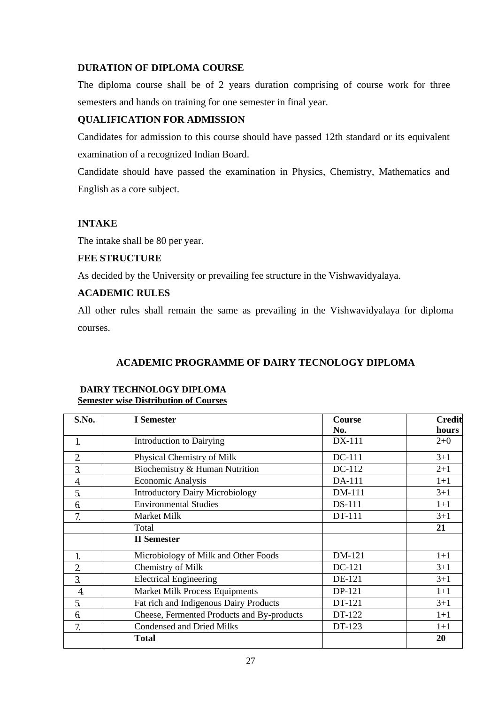### **DURATION OF DIPLOMA COURSE**

The diploma course shall be of 2 years duration comprising of course work for three semesters and hands on training for one semester in final year.

### **QUALIFICATION FOR ADMISSION**

Candidates for admission to this course should have passed 12th standard or its equivalent examination of a recognized Indian Board.

Candidate should have passed the examination in Physics, Chemistry, Mathematics and English as a core subject.

### **INTAKE**

The intake shall be 80 per year.

### **FEE STRUCTURE**

As decided by the University or prevailing fee structure in the Vishwavidyalaya.

### **ACADEMIC RULES**

All other rules shall remain the same as prevailing in the Vishwavidyalaya for diploma courses.

### **ACADEMIC PROGRAMME OF DAIRY TECNOLOGY DIPLOMA**

| S.No.            | I Semester                                 | <b>Course</b> | <b>Credit</b> |
|------------------|--------------------------------------------|---------------|---------------|
|                  |                                            | No.           | hours         |
| 1.               | Introduction to Dairying                   | DX-111        | $2+0$         |
| $\overline{2}$   | Physical Chemistry of Milk                 | DC-111        | $3 + 1$       |
| $\overline{3}$ . | Biochemistry & Human Nutrition             | DC-112        | $2 + 1$       |
| 4.               | Economic Analysis                          | DA-111        | $1 + 1$       |
| 5.               | <b>Introductory Dairy Microbiology</b>     | DM-111        | $3 + 1$       |
| 6.               | <b>Environmental Studies</b>               | DS-111        | $1+1$         |
| 7.               | Market Milk                                | DT-111        | $3 + 1$       |
|                  | Total                                      |               | 21            |
|                  | <b>II</b> Semester                         |               |               |
| 1.               | Microbiology of Milk and Other Foods       | DM-121        | $1+1$         |
| $\overline{2}$   | Chemistry of Milk                          | DC-121        | $3 + 1$       |
| $\overline{3}$ . | <b>Electrical Engineering</b>              | DE-121        | $3+1$         |
| $\overline{4}$ . | <b>Market Milk Process Equipments</b>      | DP-121        | $1+1$         |
| 5.               | Fat rich and Indigenous Dairy Products     | DT-121        | $3 + 1$       |
| 6.               | Cheese, Fermented Products and By-products | DT-122        | $1+1$         |
| 7.               | <b>Condensed and Dried Milks</b>           | DT-123        | $1+1$         |
|                  | <b>Total</b>                               |               | 20            |

### **DAIRY TECHNOLOGY DIPLOMA Semester wise Distribution of Courses**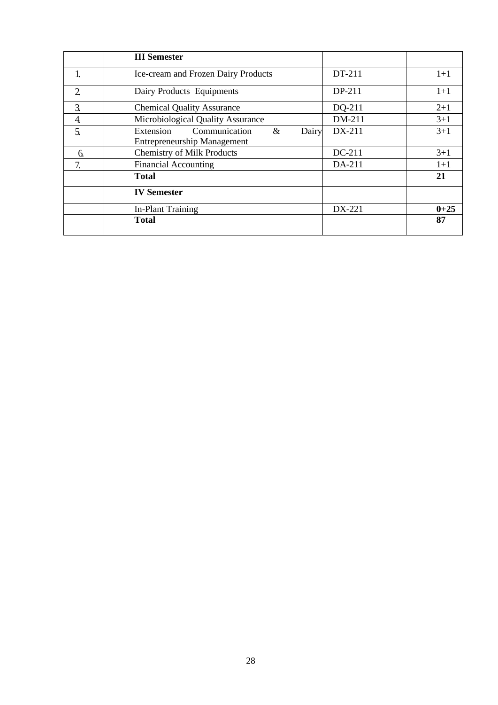|                  | <b>III</b> Semester                                                               |        |          |
|------------------|-----------------------------------------------------------------------------------|--------|----------|
|                  | Ice-cream and Frozen Dairy Products                                               | DT-211 | $1+1$    |
| $\overline{2}$   | Dairy Products Equipments                                                         | DP-211 | $1+1$    |
| $\overline{3}$ . | <b>Chemical Quality Assurance</b>                                                 | DQ-211 | $2 + 1$  |
| 4.               | Microbiological Quality Assurance                                                 | DM-211 | $3 + 1$  |
| 5.               | Communication<br>$\&$<br>Extension<br>Dairy<br><b>Entrepreneurship Management</b> | DX-211 | $3+1$    |
| 6.               | <b>Chemistry of Milk Products</b>                                                 | DC-211 | $3+1$    |
| 7.               | <b>Financial Accounting</b>                                                       | DA-211 | $1 + 1$  |
|                  | <b>Total</b>                                                                      |        | 21       |
|                  | <b>IV Semester</b>                                                                |        |          |
|                  | In-Plant Training                                                                 | DX-221 | $0 + 25$ |
|                  | Total                                                                             |        | 87       |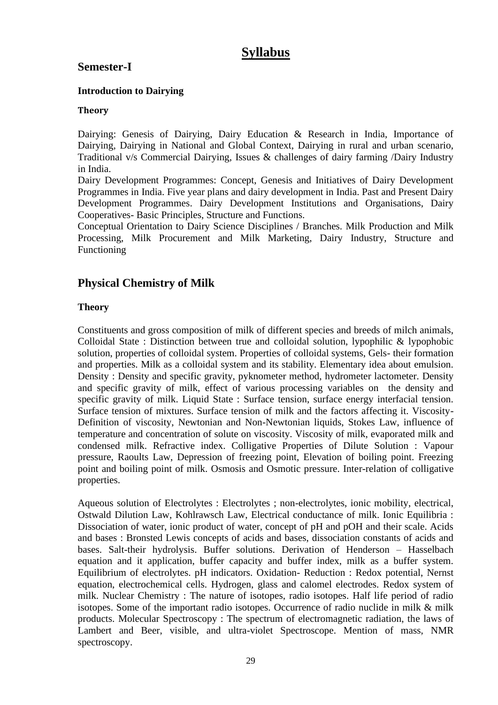# **Syllabus**

# **Semester-I**

## **Introduction to Dairying**

### **Theory**

Dairying: Genesis of Dairying, Dairy Education & Research in India, Importance of Dairying, Dairying in National and Global Context, Dairying in rural and urban scenario, Traditional v/s Commercial Dairying, Issues & challenges of dairy farming /Dairy Industry in India.

Dairy Development Programmes: Concept, Genesis and Initiatives of Dairy Development Programmes in India. Five year plans and dairy development in India. Past and Present Dairy Development Programmes. Dairy Development Institutions and Organisations, Dairy Cooperatives- Basic Principles, Structure and Functions.

Conceptual Orientation to Dairy Science Disciplines / Branches. Milk Production and Milk Processing, Milk Procurement and Milk Marketing, Dairy Industry, Structure and Functioning

# **Physical Chemistry of Milk**

# **Theory**

Constituents and gross composition of milk of different species and breeds of milch animals, Colloidal State : Distinction between true and colloidal solution, lypophilic & lypophobic solution, properties of colloidal system. Properties of colloidal systems, Gels- their formation and properties. Milk as a colloidal system and its stability. Elementary idea about emulsion. Density : Density and specific gravity, pyknometer method, hydrometer lactometer. Density and specific gravity of milk, effect of various processing variables on the density and specific gravity of milk. Liquid State : Surface tension, surface energy interfacial tension. Surface tension of mixtures. Surface tension of milk and the factors affecting it. Viscosity-Definition of viscosity, Newtonian and Non-Newtonian liquids, Stokes Law, influence of temperature and concentration of solute on viscosity. Viscosity of milk, evaporated milk and condensed milk. Refractive index. Colligative Properties of Dilute Solution : Vapour pressure, Raoults Law, Depression of freezing point, Elevation of boiling point. Freezing point and boiling point of milk. Osmosis and Osmotic pressure. Inter-relation of colligative properties.

Aqueous solution of Electrolytes : Electrolytes ; non-electrolytes, ionic mobility, electrical, Ostwald Dilution Law, Kohlrawsch Law, Electrical conductance of milk. Ionic Equilibria : Dissociation of water, ionic product of water, concept of pH and pOH and their scale. Acids and bases : Bronsted Lewis concepts of acids and bases, dissociation constants of acids and bases. Salt-their hydrolysis. Buffer solutions. Derivation of Henderson – Hasselbach equation and it application, buffer capacity and buffer index, milk as a buffer system. Equilibrium of electrolytes. pH indicators. Oxidation- Reduction : Redox potential, Nernst equation, electrochemical cells. Hydrogen, glass and calomel electrodes. Redox system of milk. Nuclear Chemistry : The nature of isotopes, radio isotopes. Half life period of radio isotopes. Some of the important radio isotopes. Occurrence of radio nuclide in milk & milk products. Molecular Spectroscopy : The spectrum of electromagnetic radiation, the laws of Lambert and Beer, visible, and ultra-violet Spectroscope. Mention of mass, NMR spectroscopy.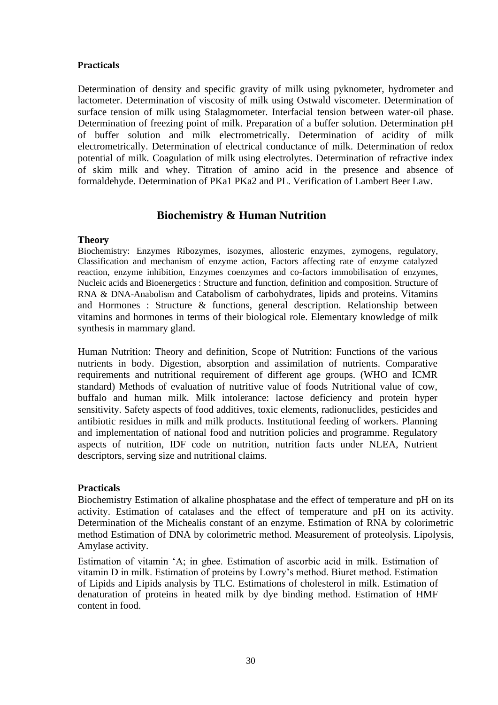### **Practicals**

Determination of density and specific gravity of milk using pyknometer, hydrometer and lactometer. Determination of viscosity of milk using Ostwald viscometer. Determination of surface tension of milk using Stalagmometer. Interfacial tension between water-oil phase. Determination of freezing point of milk. Preparation of a buffer solution. Determination pH of buffer solution and milk electrometrically. Determination of acidity of milk electrometrically. Determination of electrical conductance of milk. Determination of redox potential of milk. Coagulation of milk using electrolytes. Determination of refractive index of skim milk and whey. Titration of amino acid in the presence and absence of formaldehyde. Determination of PKa1 PKa2 and PL. Verification of Lambert Beer Law.

# **Biochemistry & Human Nutrition**

### **Theory**

Biochemistry: Enzymes Ribozymes, isozymes, allosteric enzymes, zymogens, regulatory, Classification and mechanism of enzyme action, Factors affecting rate of enzyme catalyzed reaction, enzyme inhibition, Enzymes coenzymes and co-factors immobilisation of enzymes, Nucleic acids and Bioenergetics : Structure and function, definition and composition. Structure of RNA & DNA-Anabolism and Catabolism of carbohydrates, lipids and proteins. Vitamins and Hormones : Structure & functions, general description. Relationship between vitamins and hormones in terms of their biological role. Elementary knowledge of milk synthesis in mammary gland.

Human Nutrition: Theory and definition, Scope of Nutrition: Functions of the various nutrients in body. Digestion, absorption and assimilation of nutrients. Comparative requirements and nutritional requirement of different age groups. (WHO and ICMR standard) Methods of evaluation of nutritive value of foods Nutritional value of cow, buffalo and human milk. Milk intolerance: lactose deficiency and protein hyper sensitivity. Safety aspects of food additives, toxic elements, radionuclides, pesticides and antibiotic residues in milk and milk products. Institutional feeding of workers. Planning and implementation of national food and nutrition policies and programme. Regulatory aspects of nutrition, IDF code on nutrition, nutrition facts under NLEA, Nutrient descriptors, serving size and nutritional claims.

### **Practicals**

Biochemistry Estimation of alkaline phosphatase and the effect of temperature and pH on its activity. Estimation of catalases and the effect of temperature and pH on its activity. Determination of the Michealis constant of an enzyme. Estimation of RNA by colorimetric method Estimation of DNA by colorimetric method. Measurement of proteolysis. Lipolysis, Amylase activity.

Estimation of vitamin 'A; in ghee. Estimation of ascorbic acid in milk. Estimation of vitamin D in milk. Estimation of proteins by Lowry's method. Biuret method. Estimation of Lipids and Lipids analysis by TLC. Estimations of cholesterol in milk. Estimation of denaturation of proteins in heated milk by dye binding method. Estimation of HMF content in food.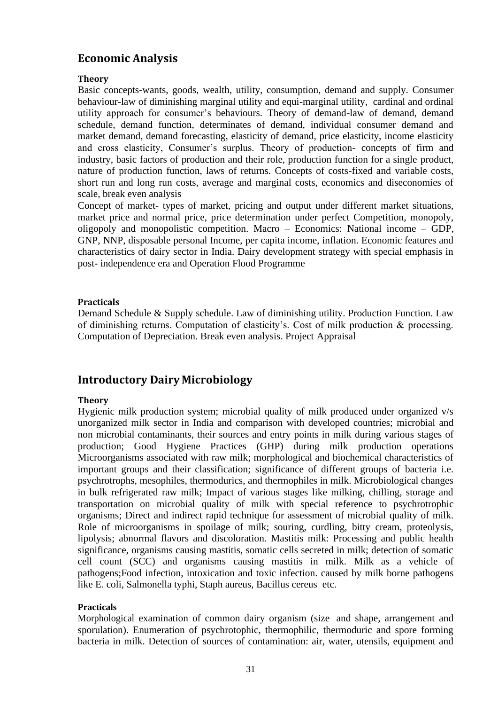# **Economic Analysis**

### **Theory**

Basic concepts-wants, goods, wealth, utility, consumption, demand and supply. Consumer behaviour-law of diminishing marginal utility and equi-marginal utility, cardinal and ordinal utility approach for consumer's behaviours. Theory of demand-law of demand, demand schedule, demand function, determinates of demand, individual consumer demand and market demand, demand forecasting, elasticity of demand, price elasticity, income elasticity and cross elasticity, Consumer's surplus. Theory of production- concepts of firm and industry, basic factors of production and their role, production function for a single product, nature of production function, laws of returns. Concepts of costs-fixed and variable costs, short run and long run costs, average and marginal costs, economics and diseconomies of scale, break even analysis

Concept of market- types of market, pricing and output under different market situations, market price and normal price, price determination under perfect Competition, monopoly, oligopoly and monopolistic competition. Macro – Economics: National income – GDP, GNP, NNP, disposable personal Income, per capita income, inflation. Economic features and characteristics of dairy sector in India. Dairy development strategy with special emphasis in post- independence era and Operation Flood Programme

### **Practicals**

Demand Schedule & Supply schedule. Law of diminishing utility. Production Function. Law of diminishing returns. Computation of elasticity's. Cost of milk production & processing. Computation of Depreciation. Break even analysis. Project Appraisal

# **Introductory Dairy Microbiology**

### **Theory**

Hygienic milk production system; microbial quality of milk produced under organized v/s unorganized milk sector in India and comparison with developed countries; microbial and non microbial contaminants, their sources and entry points in milk during various stages of production; Good Hygiene Practices (GHP) during milk production operations Microorganisms associated with raw milk; morphological and biochemical characteristics of important groups and their classification; significance of different groups of bacteria i.e. psychrotrophs, mesophiles, thermodurics, and thermophiles in milk. Microbiological changes in bulk refrigerated raw milk; Impact of various stages like milking, chilling, storage and transportation on microbial quality of milk with special reference to psychrotrophic organisms; Direct and indirect rapid technique for assessment of microbial quality of milk. Role of microorganisms in spoilage of milk; souring, curdling, bitty cream, proteolysis, lipolysis; abnormal flavors and discoloration. Mastitis milk: Processing and public health significance, organisms causing mastitis, somatic cells secreted in milk; detection of somatic cell count (SCC) and organisms causing mastitis in milk. Milk as a vehicle of pathogens;Food infection, intoxication and toxic infection. caused by milk borne pathogens like E. coli, Salmonella typhi, Staph aureus, Bacillus cereus etc.

### **Practicals**

Morphological examination of common dairy organism (size and shape, arrangement and sporulation). Enumeration of psychrotophic, thermophilic, thermoduric and spore forming bacteria in milk. Detection of sources of contamination: air, water, utensils, equipment and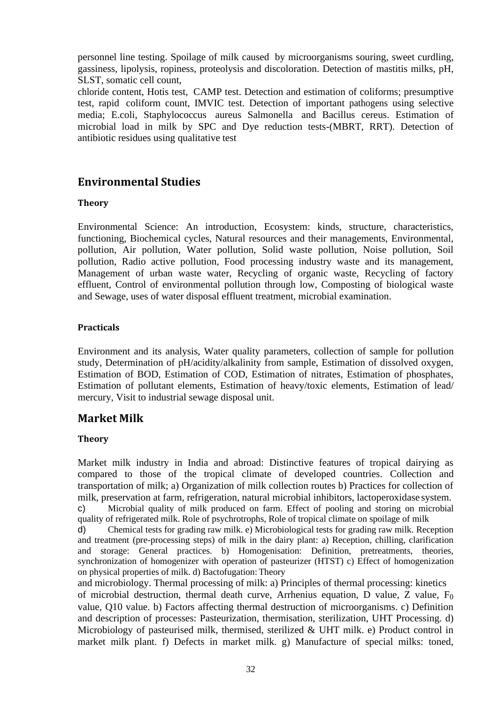personnel line testing. Spoilage of milk caused by microorganisms souring, sweet curdling, gassiness, lipolysis, ropiness, proteolysis and discoloration. Detection of mastitis milks, pH, SLST, somatic cell count,

chloride content, Hotis test, CAMP test. Detection and estimation of coliforms; presumptive test, rapid coliform count, IMVIC test. Detection of important pathogens using selective media; E.coli, Staphylococcus aureus Salmonella and Bacillus cereus. Estimation of microbial load in milk by SPC and Dye reduction tests-(MBRT, RRT). Detection of antibiotic residues using qualitative test

# **Environmental Studies**

### **Theory**

Environmental Science: An introduction, Ecosystem: kinds, structure, characteristics, functioning, Biochemical cycles, Natural resources and their managements, Environmental, pollution, Air pollution, Water pollution, Solid waste pollution, Noise pollution, Soil pollution, Radio active pollution, Food processing industry waste and its management, Management of urban waste water, Recycling of organic waste, Recycling of factory effluent, Control of environmental pollution through low, Composting of biological waste and Sewage, uses of water disposal effluent treatment, microbial examination.

## **Practicals**

Environment and its analysis, Water quality parameters, collection of sample for pollution study, Determination of pH/acidity/alkalinity from sample, Estimation of dissolved oxygen, Estimation of BOD, Estimation of COD, Estimation of nitrates, Estimation of phosphates, Estimation of pollutant elements, Estimation of heavy/toxic elements, Estimation of lead/ mercury, Visit to industrial sewage disposal unit.

# **Market Milk**

# **Theory**

Market milk industry in India and abroad: Distinctive features of tropical dairying as compared to those of the tropical climate of developed countries. Collection and transportation of milk; a) Organization of milk collection routes b) Practices for collection of milk, preservation at farm, refrigeration, natural microbial inhibitors, lactoperoxidase system.

c) Microbial quality of milk produced on farm. Effect of pooling and storing on microbial quality of refrigerated milk. Role of psychrotrophs, Role of tropical climate on spoilage of milk

d) Chemical tests for grading raw milk. e) Microbiological tests for grading raw milk. Reception and treatment (pre-processing steps) of milk in the dairy plant: a) Reception, chilling, clarification and storage: General practices. b) Homogenisation: Definition, pretreatments, theories, synchronization of homogenizer with operation of pasteurizer (HTST) c) Effect of homogenization on physical properties of milk. d) Bactofugation: Theory

and microbiology. Thermal processing of milk: a) Principles of thermal processing: kinetics of microbial destruction, thermal death curve, Arrhenius equation, D value, Z value,  $F_0$ value, Q10 value. b) Factors affecting thermal destruction of microorganisms. c) Definition and description of processes: Pasteurization, thermisation, sterilization, UHT Processing. d) Microbiology of pasteurised milk, thermised, sterilized  $&$  UHT milk. e) Product control in market milk plant. f) Defects in market milk. g) Manufacture of special milks: toned,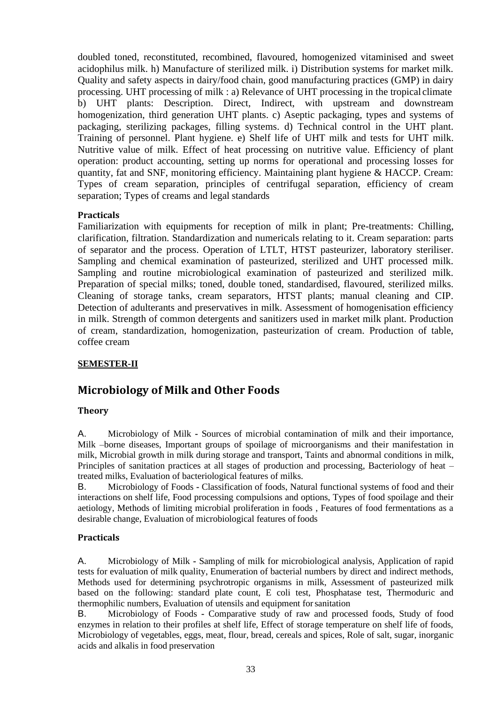doubled toned, reconstituted, recombined, flavoured, homogenized vitaminised and sweet acidophilus milk. h) Manufacture of sterilized milk. i) Distribution systems for market milk. Quality and safety aspects in dairy/food chain, good manufacturing practices (GMP) in dairy processing. UHT processing of milk : a) Relevance of UHT processing in the tropical climate b) UHT plants: Description. Direct, Indirect, with upstream and downstream homogenization, third generation UHT plants. c) Aseptic packaging, types and systems of packaging, sterilizing packages, filling systems. d) Technical control in the UHT plant. Training of personnel. Plant hygiene. e) Shelf life of UHT milk and tests for UHT milk. Nutritive value of milk. Effect of heat processing on nutritive value. Efficiency of plant operation: product accounting, setting up norms for operational and processing losses for quantity, fat and SNF, monitoring efficiency. Maintaining plant hygiene & HACCP. Cream: Types of cream separation, principles of centrifugal separation, efficiency of cream separation; Types of creams and legal standards

### **Practicals**

Familiarization with equipments for reception of milk in plant; Pre-treatments: Chilling, clarification, filtration. Standardization and numericals relating to it. Cream separation: parts of separator and the process. Operation of LTLT, HTST pasteurizer, laboratory steriliser. Sampling and chemical examination of pasteurized, sterilized and UHT processed milk. Sampling and routine microbiological examination of pasteurized and sterilized milk. Preparation of special milks; toned, double toned, standardised, flavoured, sterilized milks. Cleaning of storage tanks, cream separators, HTST plants; manual cleaning and CIP. Detection of adulterants and preservatives in milk. Assessment of homogenisation efficiency in milk. Strength of common detergents and sanitizers used in market milk plant. Production of cream, standardization, homogenization, pasteurization of cream. Production of table, coffee cream

### **SEMESTER-II**

# **Microbiology of Milk and Other Foods**

### **Theory**

A. Microbiology of Milk **-** Sources of microbial contamination of milk and their importance, Milk –borne diseases, Important groups of spoilage of microorganisms and their manifestation in milk, Microbial growth in milk during storage and transport, Taints and abnormal conditions in milk, Principles of sanitation practices at all stages of production and processing, Bacteriology of heat – treated milks, Evaluation of bacteriological features of milks.

B. Microbiology of Foods **-** Classification of foods, Natural functional systems of food and their interactions on shelf life, Food processing compulsions and options, Types of food spoilage and their aetiology, Methods of limiting microbial proliferation in foods , Features of food fermentations as a desirable change, Evaluation of microbiological features of foods

### **Practicals**

A. Microbiology of Milk **-** Sampling of milk for microbiological analysis, Application of rapid tests for evaluation of milk quality, Enumeration of bacterial numbers by direct and indirect methods, Methods used for determining psychrotropic organisms in milk, Assessment of pasteurized milk based on the following: standard plate count, E coli test, Phosphatase test, Thermoduric and thermophilic numbers, Evaluation of utensils and equipment forsanitation

B. Microbiology of Foods **-** Comparative study of raw and processed foods, Study of food enzymes in relation to their profiles at shelf life, Effect of storage temperature on shelf life of foods, Microbiology of vegetables, eggs, meat, flour, bread, cereals and spices, Role of salt, sugar, inorganic acids and alkalis in food preservation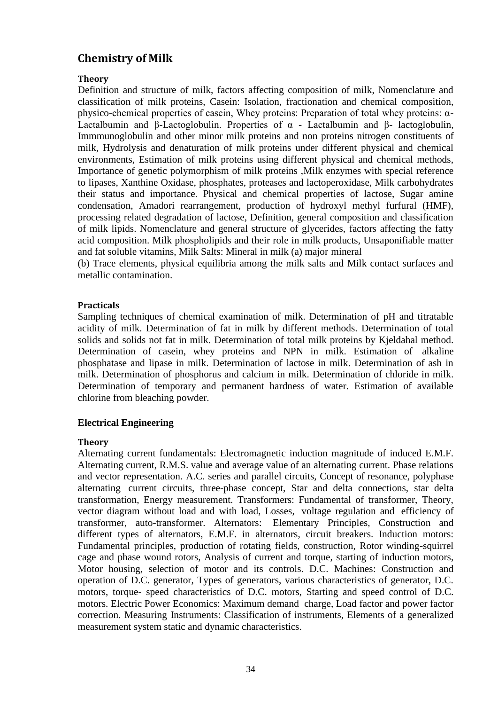# **Chemistry of Milk**

### **Theory**

Definition and structure of milk, factors affecting composition of milk, Nomenclature and classification of milk proteins, Casein: Isolation, fractionation and chemical composition, physico-chemical properties of casein, Whey proteins: Preparation of total whey proteins: α-Lactalbumin and β-Lactoglobulin. Properties of  $\alpha$  - Lactalbumin and β- lactoglobulin, Immmunoglobulin and other minor milk proteins and non proteins nitrogen constituents of milk, Hydrolysis and denaturation of milk proteins under different physical and chemical environments, Estimation of milk proteins using different physical and chemical methods, Importance of genetic polymorphism of milk proteins ,Milk enzymes with special reference to lipases, Xanthine Oxidase, phosphates, proteases and lactoperoxidase, Milk carbohydrates their status and importance. Physical and chemical properties of lactose, Sugar amine condensation, Amadori rearrangement, production of hydroxyl methyl furfural (HMF), processing related degradation of lactose, Definition, general composition and classification of milk lipids. Nomenclature and general structure of glycerides, factors affecting the fatty acid composition. Milk phospholipids and their role in milk products, Unsaponifiable matter and fat soluble vitamins, Milk Salts: Mineral in milk (a) major mineral

(b) Trace elements, physical equilibria among the milk salts and Milk contact surfaces and metallic contamination.

### **Practicals**

Sampling techniques of chemical examination of milk. Determination of pH and titratable acidity of milk. Determination of fat in milk by different methods. Determination of total solids and solids not fat in milk. Determination of total milk proteins by Kjeldahal method. Determination of casein, whey proteins and NPN in milk. Estimation of alkaline phosphatase and lipase in milk. Determination of lactose in milk. Determination of ash in milk. Determination of phosphorus and calcium in milk. Determination of chloride in milk. Determination of temporary and permanent hardness of water. Estimation of available chlorine from bleaching powder.

### **Electrical Engineering**

### **Theory**

Alternating current fundamentals: Electromagnetic induction magnitude of induced E.M.F. Alternating current, R.M.S. value and average value of an alternating current. Phase relations and vector representation. A.C. series and parallel circuits, Concept of resonance, polyphase alternating current circuits, three-phase concept, Star and delta connections, star delta transformation, Energy measurement. Transformers: Fundamental of transformer, Theory, vector diagram without load and with load, Losses, voltage regulation and efficiency of transformer, auto-transformer. Alternators: Elementary Principles, Construction and different types of alternators, E.M.F. in alternators, circuit breakers. Induction motors: Fundamental principles, production of rotating fields, construction, Rotor winding-squirrel cage and phase wound rotors, Analysis of current and torque, starting of induction motors, Motor housing, selection of motor and its controls. D.C. Machines: Construction and operation of D.C. generator, Types of generators, various characteristics of generator, D.C. motors, torque- speed characteristics of D.C. motors, Starting and speed control of D.C. motors. Electric Power Economics: Maximum demand charge, Load factor and power factor correction. Measuring Instruments: Classification of instruments, Elements of a generalized measurement system static and dynamic characteristics.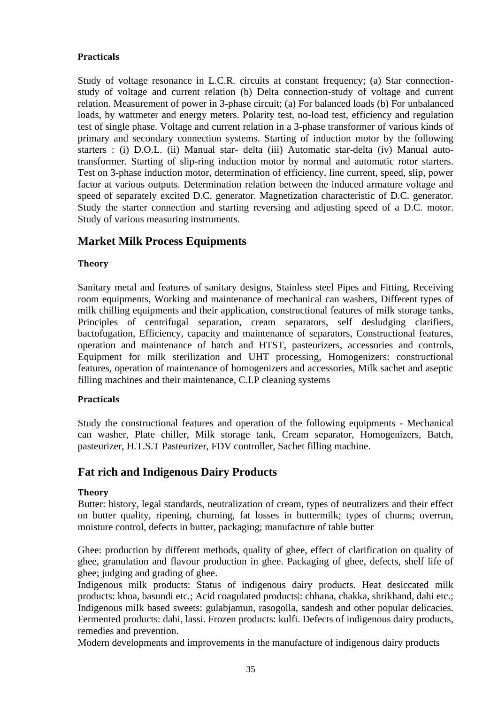### **Practicals**

Study of voltage resonance in L.C.R. circuits at constant frequency; (a) Star connectionstudy of voltage and current relation (b) Delta connection-study of voltage and current relation. Measurement of power in 3-phase circuit; (a) For balanced loads (b) For unbalanced loads, by wattmeter and energy meters. Polarity test, no-load test, efficiency and regulation test of single phase. Voltage and current relation in a 3-phase transformer of various kinds of primary and secondary connection systems. Starting of induction motor by the following starters : (i) D.O.L. (ii) Manual star- delta (iii) Automatic star-delta (iv) Manual autotransformer. Starting of slip-ring induction motor by normal and automatic rotor starters. Test on 3-phase induction motor, determination of efficiency, line current, speed, slip, power factor at various outputs. Determination relation between the induced armature voltage and speed of separately excited D.C. generator. Magnetization characteristic of D.C. generator. Study the starter connection and starting reversing and adjusting speed of a D.C. motor. Study of various measuring instruments.

# **Market Milk Process Equipments**

### **Theory**

Sanitary metal and features of sanitary designs, Stainless steel Pipes and Fitting, Receiving room equipments, Working and maintenance of mechanical can washers, Different types of milk chilling equipments and their application, constructional features of milk storage tanks, Principles of centrifugal separation, cream separators, self desludging clarifiers, bactofugation, Efficiency, capacity and maintenance of separators, Constructional features, operation and maintenance of batch and HTST, pasteurizers, accessories and controls, Equipment for milk sterilization and UHT processing, Homogenizers: constructional features, operation of maintenance of homogenizers and accessories, Milk sachet and aseptic filling machines and their maintenance, C.I.P cleaning systems

### **Practicals**

Study the constructional features and operation of the following equipments - Mechanical can washer, Plate chiller, Milk storage tank, Cream separator, Homogenizers, Batch, pasteurizer, H.T.S.T Pasteurizer, FDV controller, Sachet filling machine.

# **Fat rich and Indigenous Dairy Products**

### **Theory**

Butter: history, legal standards, neutralization of cream, types of neutralizers and their effect on butter quality, ripening, churning, fat losses in buttermilk; types of churns; overrun, moisture control, defects in butter, packaging; manufacture of table butter

Ghee: production by different methods, quality of ghee, effect of clarification on quality of ghee, granulation and flavour production in ghee. Packaging of ghee, defects, shelf life of ghee; judging and grading of ghee.

Indigenous milk products: Status of indigenous dairy products. Heat desiccated milk products: khoa, basundi etc.; Acid coagulated products|: chhana, chakka, shrikhand, dahi etc.; Indigenous milk based sweets: gulabjamun, rasogolla, sandesh and other popular delicacies. Fermented products: dahi, lassi. Frozen products: kulfi. Defects of indigenous dairy products, remedies and prevention.

Modern developments and improvements in the manufacture of indigenous dairy products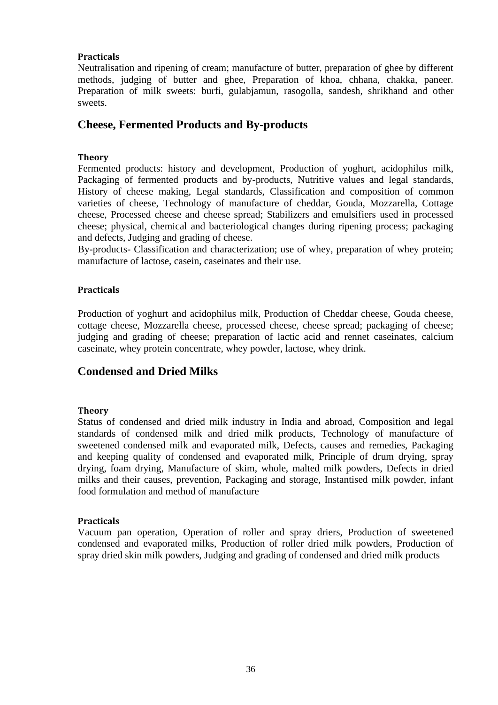### **Practicals**

Neutralisation and ripening of cream; manufacture of butter, preparation of ghee by different methods, judging of butter and ghee, Preparation of khoa, chhana, chakka, paneer. Preparation of milk sweets: burfi, gulabjamun, rasogolla, sandesh, shrikhand and other sweets.

# **Cheese, Fermented Products and By-products**

### **Theory**

Fermented products: history and development, Production of yoghurt, acidophilus milk, Packaging of fermented products and by-products, Nutritive values and legal standards, History of cheese making, Legal standards, Classification and composition of common varieties of cheese, Technology of manufacture of cheddar, Gouda, Mozzarella, Cottage cheese, Processed cheese and cheese spread; Stabilizers and emulsifiers used in processed cheese; physical, chemical and bacteriological changes during ripening process; packaging and defects, Judging and grading of cheese.

By-products- Classification and characterization; use of whey, preparation of whey protein; manufacture of lactose, casein, caseinates and their use.

### **Practicals**

Production of yoghurt and acidophilus milk, Production of Cheddar cheese, Gouda cheese, cottage cheese, Mozzarella cheese, processed cheese, cheese spread; packaging of cheese; judging and grading of cheese; preparation of lactic acid and rennet caseinates, calcium caseinate, whey protein concentrate, whey powder, lactose, whey drink.

# **Condensed and Dried Milks**

### **Theory**

Status of condensed and dried milk industry in India and abroad, Composition and legal standards of condensed milk and dried milk products, Technology of manufacture of sweetened condensed milk and evaporated milk, Defects, causes and remedies, Packaging and keeping quality of condensed and evaporated milk, Principle of drum drying, spray drying, foam drying, Manufacture of skim, whole, malted milk powders, Defects in dried milks and their causes, prevention, Packaging and storage, Instantised milk powder, infant food formulation and method of manufacture

### **Practicals**

Vacuum pan operation, Operation of roller and spray driers, Production of sweetened condensed and evaporated milks, Production of roller dried milk powders, Production of spray dried skin milk powders, Judging and grading of condensed and dried milk products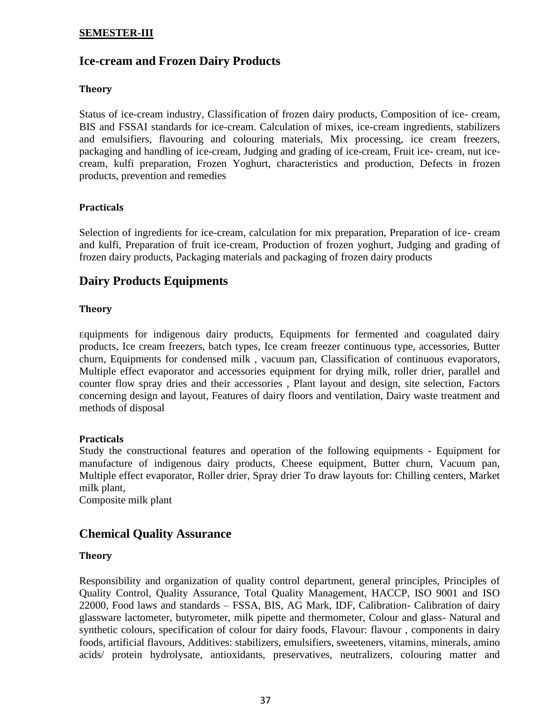### **SEMESTER-III**

# **Ice-cream and Frozen Dairy Products**

### **Theory**

Status of ice-cream industry, Classification of frozen dairy products, Composition of ice- cream, BIS and FSSAI standards for ice-cream. Calculation of mixes, ice-cream ingredients, stabilizers and emulsifiers, flavouring and colouring materials, Mix processing, ice cream freezers, packaging and handling of ice-cream, Judging and grading of ice-cream, Fruit ice- cream, nut icecream, kulfi preparation, Frozen Yoghurt, characteristics and production, Defects in frozen products, prevention and remedies

### **Practicals**

Selection of ingredients for ice-cream, calculation for mix preparation, Preparation of ice- cream and kulfi, Preparation of fruit ice-cream, Production of frozen yoghurt, Judging and grading of frozen dairy products, Packaging materials and packaging of frozen dairy products

# **Dairy Products Equipments**

#### **Theory**

Equipments for indigenous dairy products, Equipments for fermented and coagulated dairy products, Ice cream freezers, batch types, Ice cream freezer continuous type, accessories, Butter churn, Equipments for condensed milk , vacuum pan, Classification of continuous evaporators, Multiple effect evaporator and accessories equipment for drying milk, roller drier, parallel and counter flow spray dries and their accessories , Plant layout and design, site selection, Factors concerning design and layout, Features of dairy floors and ventilation, Dairy waste treatment and methods of disposal

#### **Practicals**

Study the constructional features and operation of the following equipments - Equipment for manufacture of indigenous dairy products, Cheese equipment, Butter churn, Vacuum pan, Multiple effect evaporator, Roller drier, Spray drier To draw layouts for: Chilling centers, Market milk plant,

Composite milk plant

# **Chemical Quality Assurance**

#### **Theory**

Responsibility and organization of quality control department, general principles, Principles of Quality Control, Quality Assurance, Total Quality Management, HACCP, ISO 9001 and ISO 22000, Food laws and standards – FSSA, BIS, AG Mark, IDF, Calibration- Calibration of dairy glassware lactometer, butyrometer, milk pipette and thermometer, Colour and glass- Natural and synthetic colours, specification of colour for dairy foods, Flavour: flavour, components in dairy foods, artificial flavours, Additives: stabilizers, emulsifiers, sweeteners, vitamins, minerals, amino acids/ protein hydrolysate, antioxidants, preservatives, neutralizers, colouring matter and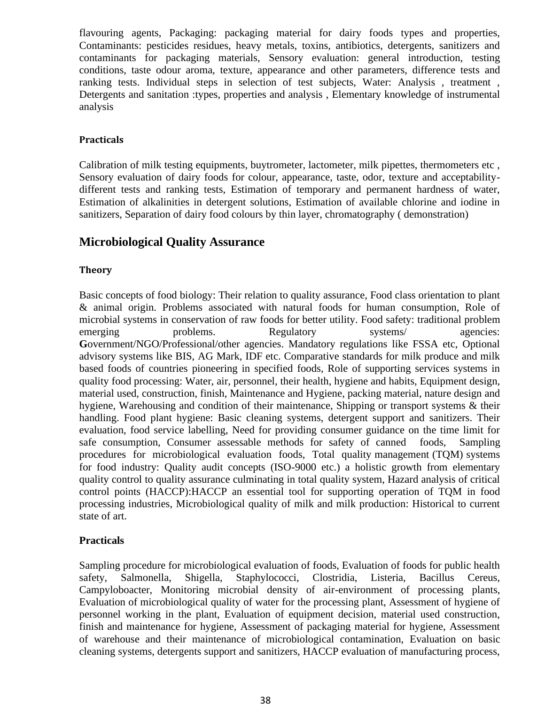flavouring agents, Packaging: packaging material for dairy foods types and properties, Contaminants: pesticides residues, heavy metals, toxins, antibiotics, detergents, sanitizers and contaminants for packaging materials, Sensory evaluation: general introduction, testing conditions, taste odour aroma, texture, appearance and other parameters, difference tests and ranking tests. Individual steps in selection of test subjects, Water: Analysis , treatment , Detergents and sanitation :types, properties and analysis , Elementary knowledge of instrumental analysis

### **Practicals**

Calibration of milk testing equipments, buytrometer, lactometer, milk pipettes, thermometers etc , Sensory evaluation of dairy foods for colour, appearance, taste, odor, texture and acceptabilitydifferent tests and ranking tests, Estimation of temporary and permanent hardness of water, Estimation of alkalinities in detergent solutions, Estimation of available chlorine and iodine in sanitizers, Separation of dairy food colours by thin layer, chromatography ( demonstration)

## **Microbiological Quality Assurance**

### **Theory**

Basic concepts of food biology: Their relation to quality assurance, Food class orientation to plant & animal origin. Problems associated with natural foods for human consumption, Role of microbial systems in conservation of raw foods for better utility. Food safety: traditional problem emerging problems. Regulatory systems/ agencies: **G**overnment/NGO/Professional/other agencies. Mandatory regulations like FSSA etc, Optional advisory systems like BIS, AG Mark, IDF etc. Comparative standards for milk produce and milk based foods of countries pioneering in specified foods, Role of supporting services systems in quality food processing: Water, air, personnel, their health, hygiene and habits, Equipment design, material used, construction, finish, Maintenance and Hygiene, packing material, nature design and hygiene, Warehousing and condition of their maintenance, Shipping or transport systems & their handling. Food plant hygiene: Basic cleaning systems, detergent support and sanitizers. Their evaluation, food service labelling, Need for providing consumer guidance on the time limit for safe consumption, Consumer assessable methods for safety of canned foods, Sampling procedures for microbiological evaluation foods, Total quality management (TQM) systems for food industry: Quality audit concepts (ISO-9000 etc.) a holistic growth from elementary quality control to quality assurance culminating in total quality system, Hazard analysis of critical control points (HACCP):HACCP an essential tool for supporting operation of TQM in food processing industries, Microbiological quality of milk and milk production: Historical to current state of art.

### **Practicals**

Sampling procedure for microbiological evaluation of foods, Evaluation of foods for public health safety, Salmonella, Shigella, Staphylococci, Clostridia, Listeria, Bacillus Cereus, Campyloboacter, Monitoring microbial density of air-environment of processing plants, Evaluation of microbiological quality of water for the processing plant, Assessment of hygiene of personnel working in the plant, Evaluation of equipment decision, material used construction, finish and maintenance for hygiene, Assessment of packaging material for hygiene, Assessment of warehouse and their maintenance of microbiological contamination, Evaluation on basic cleaning systems, detergents support and sanitizers, HACCP evaluation of manufacturing process,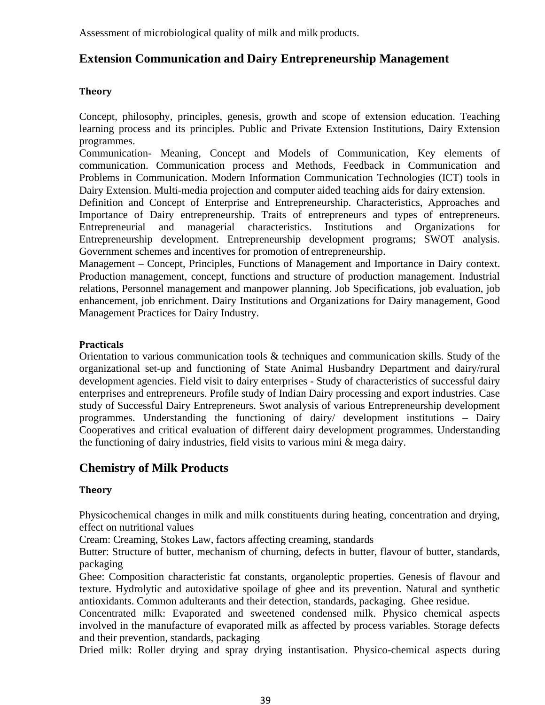Assessment of microbiological quality of milk and milk products.

# **Extension Communication and Dairy Entrepreneurship Management**

### **Theory**

Concept, philosophy, principles, genesis, growth and scope of extension education. Teaching learning process and its principles. Public and Private Extension Institutions, Dairy Extension programmes.

Communication- Meaning, Concept and Models of Communication, Key elements of communication. Communication process and Methods, Feedback in Communication and Problems in Communication. Modern Information Communication Technologies (ICT) tools in Dairy Extension. Multi-media projection and computer aided teaching aids for dairy extension.

Definition and Concept of Enterprise and Entrepreneurship. Characteristics, Approaches and Importance of Dairy entrepreneurship. Traits of entrepreneurs and types of entrepreneurs. Entrepreneurial and managerial characteristics. Institutions and Organizations for Entrepreneurship development. Entrepreneurship development programs; SWOT analysis. Government schemes and incentives for promotion of entrepreneurship.

Management – Concept, Principles, Functions of Management and Importance in Dairy context. Production management, concept, functions and structure of production management. Industrial relations, Personnel management and manpower planning. Job Specifications, job evaluation, job enhancement, job enrichment. Dairy Institutions and Organizations for Dairy management, Good Management Practices for Dairy Industry.

### **Practicals**

Orientation to various communication tools & techniques and communication skills. Study of the organizational set-up and functioning of State Animal Husbandry Department and dairy/rural development agencies. Field visit to dairy enterprises - Study of characteristics of successful dairy enterprises and entrepreneurs. Profile study of Indian Dairy processing and export industries. Case study of Successful Dairy Entrepreneurs. Swot analysis of various Entrepreneurship development programmes. Understanding the functioning of dairy/ development institutions – Dairy Cooperatives and critical evaluation of different dairy development programmes. Understanding the functioning of dairy industries, field visits to various mini & mega dairy.

# **Chemistry of Milk Products**

### **Theory**

Physicochemical changes in milk and milk constituents during heating, concentration and drying, effect on nutritional values

Cream: Creaming, Stokes Law, factors affecting creaming, standards

Butter: Structure of butter, mechanism of churning, defects in butter, flavour of butter, standards, packaging

Ghee: Composition characteristic fat constants, organoleptic properties. Genesis of flavour and texture. Hydrolytic and autoxidative spoilage of ghee and its prevention. Natural and synthetic antioxidants. Common adulterants and their detection, standards, packaging. Ghee residue.

Concentrated milk: Evaporated and sweetened condensed milk. Physico chemical aspects involved in the manufacture of evaporated milk as affected by process variables. Storage defects and their prevention, standards, packaging

Dried milk: Roller drying and spray drying instantisation. Physico-chemical aspects during